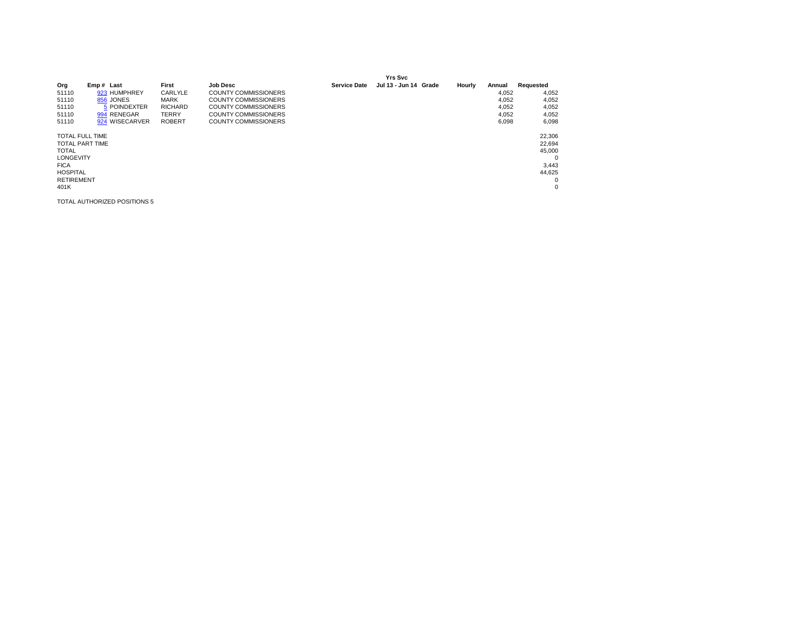|                        |                        |                |                             |                     | <b>Yrs Svc</b>        |        |        |            |
|------------------------|------------------------|----------------|-----------------------------|---------------------|-----------------------|--------|--------|------------|
| Org                    | Emp# Last              | First          | <b>Job Desc</b>             | <b>Service Date</b> | Jul 13 - Jun 14 Grade | Hourly | Annual | Requested  |
| 51110                  | 923 HUMPHREY           | CARLYLE        | <b>COUNTY COMMISSIONERS</b> |                     |                       |        | 4.052  | 4,052      |
| 51110                  | 856 JONES              | <b>MARK</b>    | <b>COUNTY COMMISSIONERS</b> |                     |                       |        | 4,052  | 4,052      |
| 51110                  | 5 POINDEXTER           | <b>RICHARD</b> | <b>COUNTY COMMISSIONERS</b> |                     |                       |        | 4,052  | 4,052      |
| 51110                  | 994 RENEGAR            | <b>TERRY</b>   | <b>COUNTY COMMISSIONERS</b> |                     |                       |        | 4,052  | 4,052      |
| 51110                  | 924 WISECARVER         | <b>ROBERT</b>  | <b>COUNTY COMMISSIONERS</b> |                     |                       |        | 6.098  | 6,098      |
| <b>TOTAL FULL TIME</b> |                        |                |                             |                     |                       |        |        | 22,306     |
|                        | <b>TOTAL PART TIME</b> |                |                             |                     |                       |        |        | 22,694     |
| <b>TOTAL</b>           |                        |                |                             |                     |                       |        |        | 45,000     |
| <b>LONGEVITY</b>       |                        |                |                             |                     |                       |        |        | $^{\circ}$ |
| <b>FICA</b>            |                        |                |                             |                     |                       |        |        | 3,443      |
| <b>HOSPITAL</b>        |                        |                |                             |                     |                       |        |        | 44,625     |
| <b>RETIREMENT</b>      |                        |                |                             |                     |                       |        |        | 0          |
| 401K                   |                        |                |                             |                     |                       |        |        | 0          |
|                        |                        |                |                             |                     |                       |        |        |            |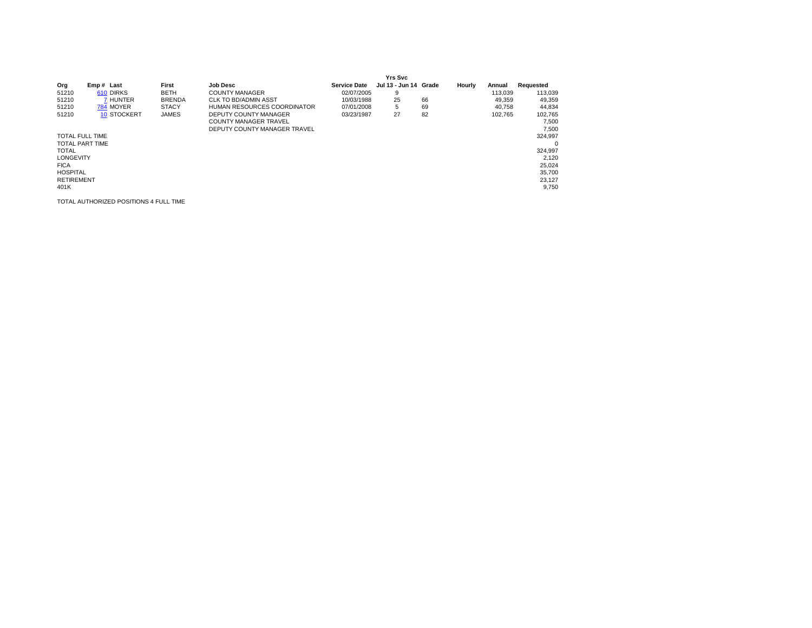|                        |                    |               |                              |                     | <b>Yrs Svc</b>        |    |        |         |           |
|------------------------|--------------------|---------------|------------------------------|---------------------|-----------------------|----|--------|---------|-----------|
| Org                    | Emp# Last          | First         | <b>Job Desc</b>              | <b>Service Date</b> | Jul 13 - Jun 14 Grade |    | Hourly | Annual  | Requested |
| 51210                  | 610 DIRKS          | <b>BETH</b>   | <b>COUNTY MANAGER</b>        | 02/07/2005          | 9                     |    |        | 113.039 | 113,039   |
| 51210                  | 7 HUNTER           | <b>BRENDA</b> | <b>CLK TO BD/ADMIN ASST</b>  | 10/03/1988          | 25                    | 66 |        | 49.359  | 49,359    |
| 51210                  | 784 MOYER          | <b>STACY</b>  | HUMAN RESOURCES COORDINATOR  | 07/01/2008          | 5                     | 69 |        | 40.758  | 44,834    |
| 51210                  | <b>10 STOCKERT</b> | <b>JAMES</b>  | DEPUTY COUNTY MANAGER        | 03/23/1987          | 27                    | 82 |        | 102.765 | 102,765   |
|                        |                    |               | <b>COUNTY MANAGER TRAVEL</b> |                     |                       |    |        |         | 7.500     |
|                        |                    |               | DEPUTY COUNTY MANAGER TRAVEL |                     |                       |    |        |         | 7.500     |
| <b>TOTAL FULL TIME</b> |                    |               |                              |                     |                       |    |        |         | 324.997   |
| <b>TOTAL PART TIME</b> |                    |               |                              |                     |                       |    |        |         | 0         |
| <b>TOTAL</b>           |                    |               |                              |                     |                       |    |        |         | 324.997   |
| <b>LONGEVITY</b>       |                    |               |                              |                     |                       |    |        |         | 2.120     |
| <b>FICA</b>            |                    |               |                              |                     |                       |    |        |         | 25,024    |
| <b>HOSPITAL</b>        |                    |               |                              |                     |                       |    |        |         | 35,700    |
| <b>RETIREMENT</b>      |                    |               |                              |                     |                       |    |        |         | 23,127    |
| 401K                   |                    |               |                              |                     |                       |    |        |         | 9.750     |

TOTAL AUTHORIZED POSITIONS 4 FULL TIME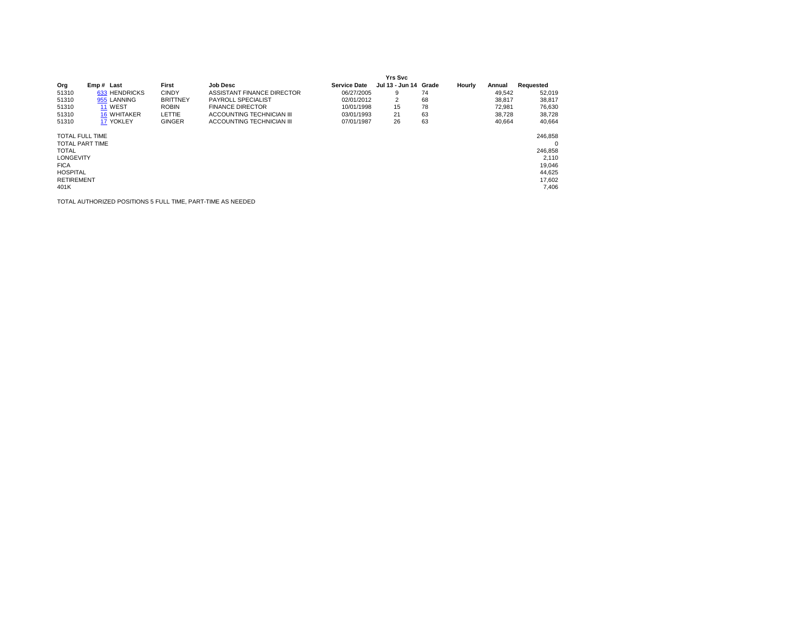|                        |                    |                 |                            |                     | Yrs Svc               |    |        |        |           |
|------------------------|--------------------|-----------------|----------------------------|---------------------|-----------------------|----|--------|--------|-----------|
| Org                    | Emp# Last          | First           | <b>Job Desc</b>            | <b>Service Date</b> | Jul 13 - Jun 14 Grade |    | Hourly | Annual | Requested |
| 51310                  | 633 HENDRICKS      | <b>CINDY</b>    | ASSISTANT FINANCE DIRECTOR | 06/27/2005          | 9                     | 74 |        | 49,542 | 52,019    |
| 51310                  | 955 LANNING        | <b>BRITTNEY</b> | PAYROLL SPECIALIST         | 02/01/2012          | 2                     | 68 |        | 38,817 | 38,817    |
| 51310                  | 11 WEST            | <b>ROBIN</b>    | <b>FINANCE DIRECTOR</b>    | 10/01/1998          | 15                    | 78 |        | 72.981 | 76,630    |
| 51310                  | <b>16 WHITAKER</b> | LETTIE          | ACCOUNTING TECHNICIAN III  | 03/01/1993          | 21                    | 63 |        | 38.728 | 38,728    |
| 51310                  | 17 YOKLEY          | <b>GINGER</b>   | ACCOUNTING TECHNICIAN III  | 07/01/1987          | 26                    | 63 |        | 40.664 | 40.664    |
| <b>TOTAL FULL TIME</b> |                    |                 |                            |                     |                       |    |        |        | 246.858   |
| <b>TOTAL PART TIME</b> |                    |                 |                            |                     |                       |    |        |        | $\Omega$  |
| <b>TOTAL</b>           |                    |                 |                            |                     |                       |    |        |        | 246,858   |
| <b>LONGEVITY</b>       |                    |                 |                            |                     |                       |    |        |        | 2.110     |
| <b>FICA</b>            |                    |                 |                            |                     |                       |    |        |        | 19,046    |
| <b>HOSPITAL</b>        |                    |                 |                            |                     |                       |    |        |        | 44,625    |
| <b>RETIREMENT</b>      |                    |                 |                            |                     |                       |    |        |        | 17.602    |
| 401K                   |                    |                 |                            |                     |                       |    |        |        | 7,406     |

TOTAL AUTHORIZED POSITIONS 5 FULL TIME, PART-TIME AS NEEDED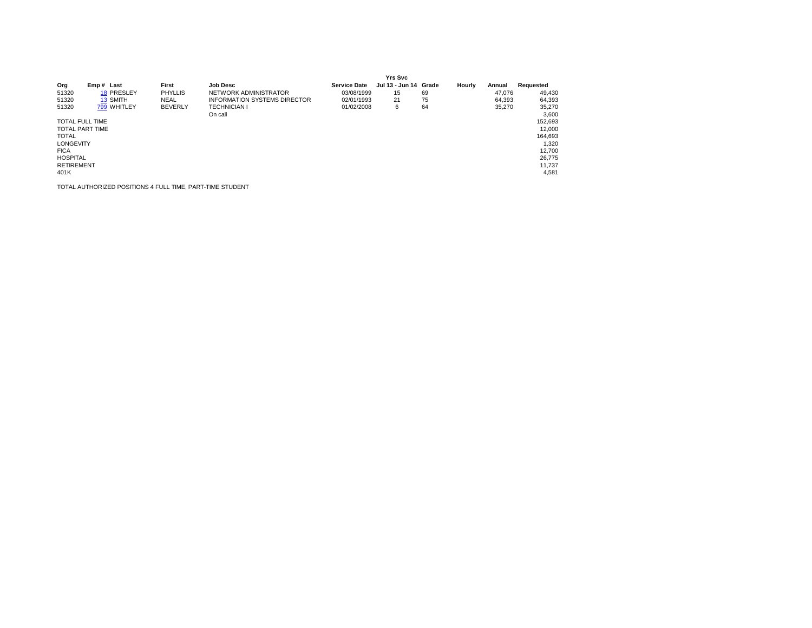|                        |             |                |                                     |                     | <b>Yrs Svc</b>        |    |        |        |           |
|------------------------|-------------|----------------|-------------------------------------|---------------------|-----------------------|----|--------|--------|-----------|
| Org                    | Emp# Last   | First          | <b>Job Desc</b>                     | <b>Service Date</b> | Jul 13 - Jun 14 Grade |    | Hourly | Annual | Requested |
| 51320                  | 18 PRESLEY  | <b>PHYLLIS</b> | NETWORK ADMINISTRATOR               | 03/08/1999          | 15                    | 69 |        | 47.076 | 49,430    |
| 51320                  | 13 SMITH    | <b>NEAL</b>    | <b>INFORMATION SYSTEMS DIRECTOR</b> | 02/01/1993          | 21                    | 75 |        | 64,393 | 64,393    |
| 51320                  | 799 WHITLEY | <b>BEVERLY</b> | <b>TECHNICIAN I</b>                 | 01/02/2008          | 6                     | 64 |        | 35.270 | 35,270    |
|                        |             |                | On call                             |                     |                       |    |        |        | 3,600     |
| <b>TOTAL FULL TIME</b> |             |                |                                     |                     |                       |    |        |        | 152,693   |
| <b>TOTAL PART TIME</b> |             |                |                                     |                     |                       |    |        |        | 12,000    |
| <b>TOTAL</b>           |             |                |                                     |                     |                       |    |        |        | 164,693   |
| <b>LONGEVITY</b>       |             |                |                                     |                     |                       |    |        |        | 1.320     |
| <b>FICA</b>            |             |                |                                     |                     |                       |    |        |        | 12,700    |
| <b>HOSPITAL</b>        |             |                |                                     |                     |                       |    |        |        | 26.775    |
| <b>RETIREMENT</b>      |             |                |                                     |                     |                       |    |        |        | 11.737    |
| 401K                   |             |                |                                     |                     |                       |    |        |        | 4,581     |

TOTAL AUTHORIZED POSITIONS 4 FULL TIME, PART-TIME STUDENT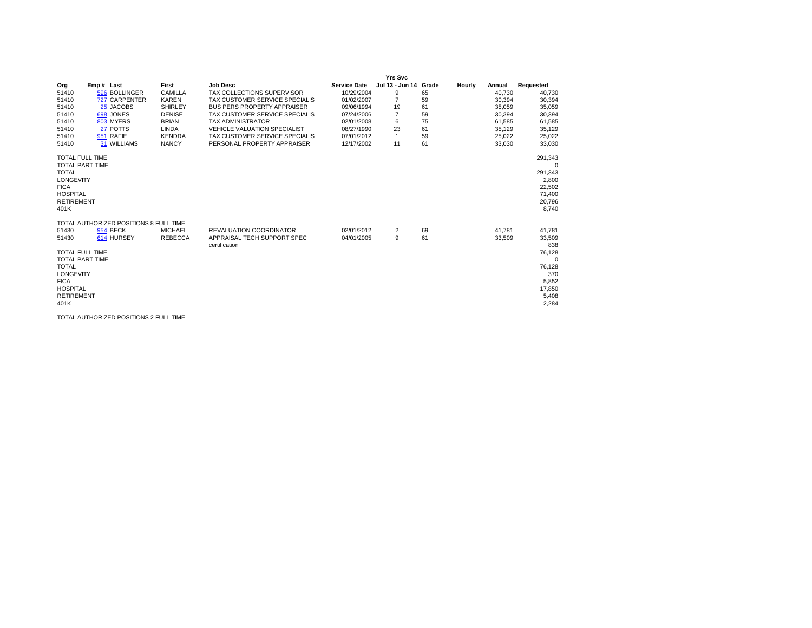| Org<br>51410<br>51410<br>51410<br>51410<br>51410<br>51410<br>51410<br>51410                                                                                    | Emp# Last<br>596 BOLLINGER<br>727 CARPENTER<br>25 JACOBS<br>698 JONES<br>803 MYERS<br>27 POTTS<br>951 RAFIE<br>31 WILLIAMS | First<br>CAMILLA<br><b>KAREN</b><br><b>SHIRLEY</b><br><b>DENISE</b><br><b>BRIAN</b><br><b>LINDA</b><br><b>KENDRA</b><br><b>NANCY</b> | <b>Job Desc</b><br>TAX COLLECTIONS SUPERVISOR<br>TAX CUSTOMER SERVICE SPECIALIS<br><b>BUS PERS PROPERTY APPRAISER</b><br>TAX CUSTOMER SERVICE SPECIALIS<br><b>TAX ADMINISTRATOR</b><br><b>VEHICLE VALUATION SPECIALIST</b><br>TAX CUSTOMER SERVICE SPECIALIS<br>PERSONAL PROPERTY APPRAISER | <b>Service Date</b><br>10/29/2004<br>01/02/2007<br>09/06/1994<br>07/24/2006<br>02/01/2008<br>08/27/1990<br>07/01/2012<br>12/17/2002 | <b>Yrs Svc</b><br>Jul 13 - Jun 14 Grade<br>9<br>$\overline{7}$<br>19<br>$\overline{7}$<br>6<br>23<br>1<br>11 | 65<br>59<br>61<br>59<br>75<br>61<br>59<br>61 | Hourly | Annual<br>40,730<br>30,394<br>35,059<br>30,394<br>61,585<br>35,129<br>25,022<br>33,030 | Requested<br>40,730<br>30,394<br>35,059<br>30,394<br>61,585<br>35,129<br>25,022<br>33,030    |
|----------------------------------------------------------------------------------------------------------------------------------------------------------------|----------------------------------------------------------------------------------------------------------------------------|--------------------------------------------------------------------------------------------------------------------------------------|---------------------------------------------------------------------------------------------------------------------------------------------------------------------------------------------------------------------------------------------------------------------------------------------|-------------------------------------------------------------------------------------------------------------------------------------|--------------------------------------------------------------------------------------------------------------|----------------------------------------------|--------|----------------------------------------------------------------------------------------|----------------------------------------------------------------------------------------------|
| <b>TOTAL FULL TIME</b><br><b>TOTAL PART TIME</b><br><b>TOTAL</b><br>LONGEVITY<br><b>FICA</b><br><b>HOSPITAL</b><br><b>RETIREMENT</b><br>401K                   |                                                                                                                            |                                                                                                                                      |                                                                                                                                                                                                                                                                                             |                                                                                                                                     |                                                                                                              |                                              |        |                                                                                        | 291,343<br>0<br>291,343<br>2,800<br>22,502<br>71,400<br>20,796<br>8.740                      |
| 51430<br>51430<br><b>TOTAL FULL TIME</b><br><b>TOTAL PART TIME</b><br><b>TOTAL</b><br>LONGEVITY<br><b>FICA</b><br><b>HOSPITAL</b><br><b>RETIREMENT</b><br>401K | TOTAL AUTHORIZED POSITIONS 8 FULL TIME<br><b>954 BECK</b><br>614 HURSEY                                                    | <b>MICHAEL</b><br><b>REBECCA</b>                                                                                                     | <b>REVALUATION COORDINATOR</b><br>APPRAISAL TECH SUPPORT SPEC<br>certification                                                                                                                                                                                                              | 02/01/2012<br>04/01/2005                                                                                                            | 2<br>9                                                                                                       | 69<br>61                                     |        | 41.781<br>33,509                                                                       | 41,781<br>33,509<br>838<br>76,128<br>0<br>76,128<br>370<br>5,852<br>17,850<br>5,408<br>2,284 |

TOTAL AUTHORIZED POSITIONS 2 FULL TIME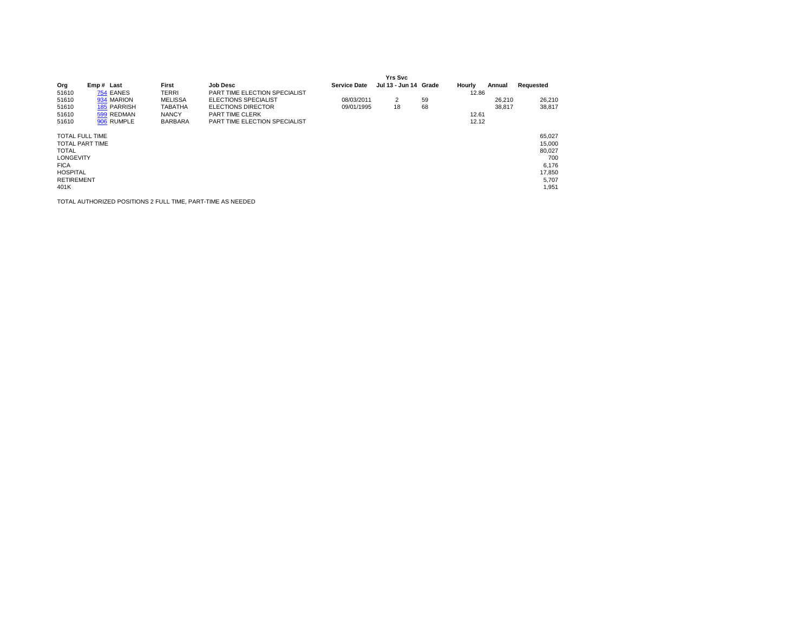|                                                                                                                           |                        |                |                               |                     | <b>Yrs Svc</b>        |    |        |        |                                                                        |
|---------------------------------------------------------------------------------------------------------------------------|------------------------|----------------|-------------------------------|---------------------|-----------------------|----|--------|--------|------------------------------------------------------------------------|
| Org                                                                                                                       | Emp# Last              | First          | <b>Job Desc</b>               | <b>Service Date</b> | Jul 13 - Jun 14 Grade |    | Hourly | Annual | Requested                                                              |
| 51610                                                                                                                     | 754 EANES              | <b>TERRI</b>   | PART TIME ELECTION SPECIALIST |                     |                       |    | 12.86  |        |                                                                        |
| 51610                                                                                                                     | 934 MARION             | <b>MELISSA</b> | <b>ELECTIONS SPECIALIST</b>   | 08/03/2011          | 2                     | 59 |        | 26.210 | 26,210                                                                 |
| 51610                                                                                                                     | 185 PARRISH            | <b>TABATHA</b> | <b>ELECTIONS DIRECTOR</b>     | 09/01/1995          | 18                    | 68 |        | 38.817 | 38.817                                                                 |
| 51610                                                                                                                     | 599 REDMAN             | <b>NANCY</b>   | PART TIME CLERK               |                     |                       |    | 12.61  |        |                                                                        |
| 51610                                                                                                                     | 906 RUMPLE             | <b>BARBARA</b> | PART TIME ELECTION SPECIALIST |                     |                       |    | 12.12  |        |                                                                        |
| <b>TOTAL FULL TIME</b><br><b>TOTAL</b><br><b>LONGEVITY</b><br><b>FICA</b><br><b>HOSPITAL</b><br><b>RETIREMENT</b><br>401K | <b>TOTAL PART TIME</b> |                |                               |                     |                       |    |        |        | 65.027<br>15,000<br>80.027<br>700<br>6,176<br>17,850<br>5.707<br>1,951 |

TOTAL AUTHORIZED POSITIONS 2 FULL TIME, PART-TIME AS NEEDED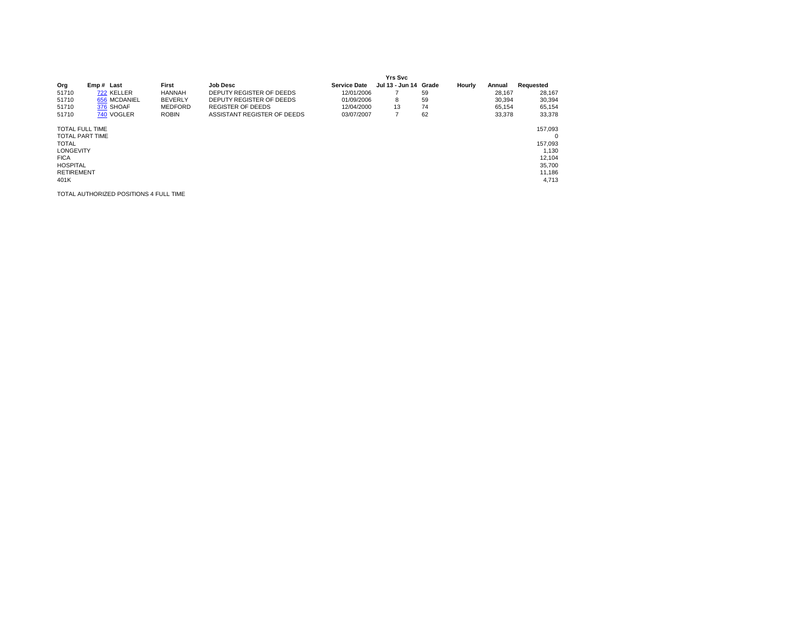|                                                                                                                                                     |              |                |                             |                     | <b>Yrs Svc</b>             |    |        |        |                                                                                   |
|-----------------------------------------------------------------------------------------------------------------------------------------------------|--------------|----------------|-----------------------------|---------------------|----------------------------|----|--------|--------|-----------------------------------------------------------------------------------|
| Org                                                                                                                                                 | Emp# Last    | First          | <b>Job Desc</b>             | <b>Service Date</b> | Jul 13 - Jun 14 Grade      |    | Hourly | Annual | Requested                                                                         |
| 51710                                                                                                                                               | 722 KELLER   | <b>HANNAH</b>  | DEPUTY REGISTER OF DEEDS    | 12/01/2006          |                            | 59 |        | 28.167 | 28,167                                                                            |
| 51710                                                                                                                                               | 656 MCDANIEL | <b>BEVERLY</b> | DEPUTY REGISTER OF DEEDS    | 01/09/2006          | 8                          | 59 |        | 30.394 | 30,394                                                                            |
| 51710                                                                                                                                               | 376 SHOAF    | <b>MEDFORD</b> | <b>REGISTER OF DEEDS</b>    | 12/04/2000          | 13                         | 74 |        | 65.154 | 65,154                                                                            |
| 51710                                                                                                                                               | 740 VOGLER   | <b>ROBIN</b>   | ASSISTANT REGISTER OF DEEDS | 03/07/2007          | $\overline{ }$<br>$\prime$ | 62 |        | 33.378 | 33,378                                                                            |
| <b>TOTAL FULL TIME</b><br><b>TOTAL PART TIME</b><br><b>TOTAL</b><br><b>LONGEVITY</b><br><b>FICA</b><br><b>HOSPITAL</b><br><b>RETIREMENT</b><br>401K |              |                |                             |                     |                            |    |        |        | 157,093<br>$\mathbf 0$<br>157,093<br>1,130<br>12,104<br>35,700<br>11,186<br>4,713 |

TOTAL AUTHORIZED POSITIONS 4 FULL TIME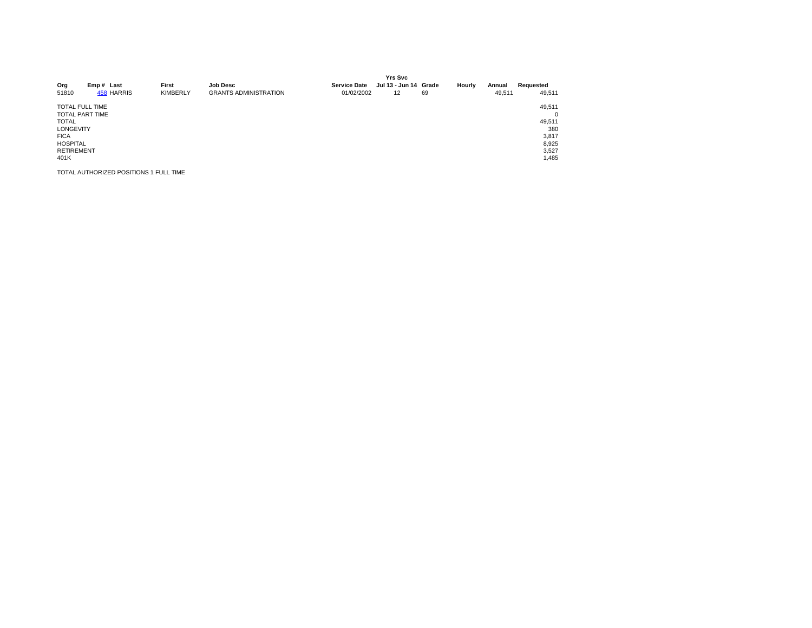| Org<br>51810                                                                                                                                        | Emp# Last<br>458 HARRIS | First<br><b>KIMBERLY</b> | <b>Job Desc</b><br><b>GRANTS ADMINISTRATION</b> | <b>Service Date</b><br>01/02/2002 | <b>Yrs Svc</b><br>Jul 13 - Jun 14 Grade<br>12 | 69 | Hourly | Annual<br>49,511 | Requested<br>49,511                                              |
|-----------------------------------------------------------------------------------------------------------------------------------------------------|-------------------------|--------------------------|-------------------------------------------------|-----------------------------------|-----------------------------------------------|----|--------|------------------|------------------------------------------------------------------|
| <b>TOTAL FULL TIME</b><br><b>TOTAL PART TIME</b><br><b>TOTAL</b><br><b>LONGEVITY</b><br><b>FICA</b><br><b>HOSPITAL</b><br><b>RETIREMENT</b><br>401K |                         |                          |                                                 |                                   |                                               |    |        |                  | 49,511<br>0<br>49,511<br>380<br>3,817<br>8,925<br>3,527<br>1,485 |

TOTAL AUTHORIZED POSITIONS 1 FULL TIME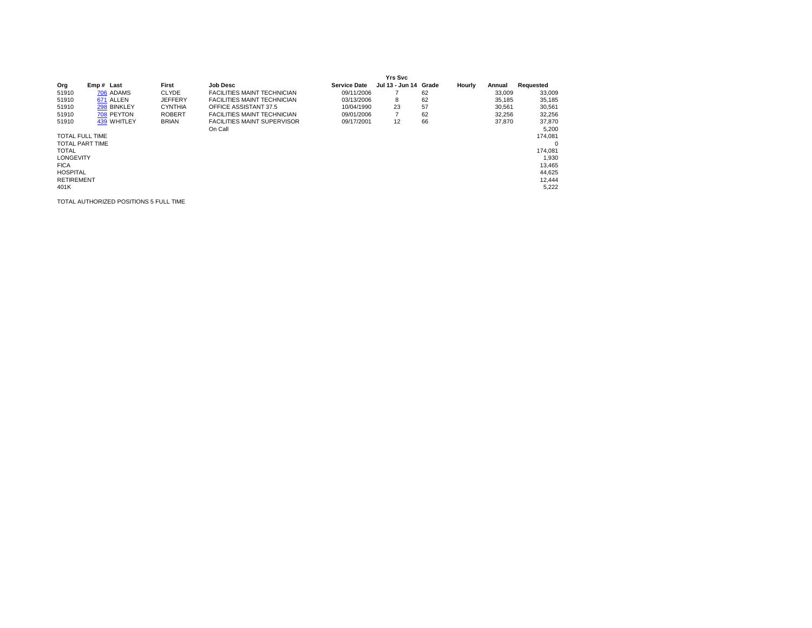|                        |             |                |                                    |                     | <b>Yrs Svc</b>        |    |        |        |           |
|------------------------|-------------|----------------|------------------------------------|---------------------|-----------------------|----|--------|--------|-----------|
| Org                    | Emp# Last   | First          | <b>Job Desc</b>                    | <b>Service Date</b> | Jul 13 - Jun 14 Grade |    | Hourly | Annual | Requested |
| 51910                  | 706 ADAMS   | <b>CLYDE</b>   | <b>FACILITIES MAINT TECHNICIAN</b> | 09/11/2006          |                       | 62 |        | 33,009 | 33,009    |
| 51910                  | 671 ALLEN   | <b>JEFFERY</b> | <b>FACILITIES MAINT TECHNICIAN</b> | 03/13/2006          | 8                     | 62 |        | 35,185 | 35,185    |
| 51910                  | 298 BINKLEY | <b>CYNTHIA</b> | OFFICE ASSISTANT 37.5              | 10/04/1990          | 23                    | 57 |        | 30.561 | 30,561    |
| 51910                  | 708 PEYTON  | <b>ROBERT</b>  | <b>FACILITIES MAINT TECHNICIAN</b> | 09/01/2006          | $\overline{7}$        | 62 |        | 32,256 | 32,256    |
| 51910                  | 439 WHITLEY | <b>BRIAN</b>   | <b>FACILITIES MAINT SUPERVISOR</b> | 09/17/2001          | 12                    | 66 |        | 37,870 | 37,870    |
|                        |             |                | On Call                            |                     |                       |    |        |        | 5,200     |
| <b>TOTAL FULL TIME</b> |             |                |                                    |                     |                       |    |        |        | 174.081   |
| <b>TOTAL PART TIME</b> |             |                |                                    |                     |                       |    |        |        | $\Omega$  |
| <b>TOTAL</b>           |             |                |                                    |                     |                       |    |        |        | 174.081   |
| <b>LONGEVITY</b>       |             |                |                                    |                     |                       |    |        |        | 1,930     |
| <b>FICA</b>            |             |                |                                    |                     |                       |    |        |        | 13,465    |
| <b>HOSPITAL</b>        |             |                |                                    |                     |                       |    |        |        | 44,625    |
| <b>RETIREMENT</b>      |             |                |                                    |                     |                       |    |        |        | 12,444    |
| 401K                   |             |                |                                    |                     |                       |    |        |        | 5,222     |

TOTAL AUTHORIZED POSITIONS 5 FULL TIME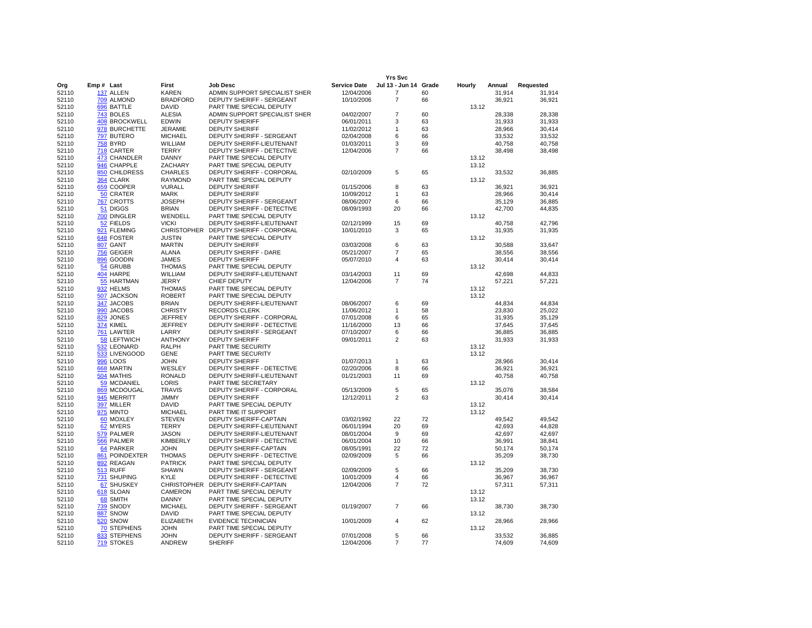|                |                                |                                    |                                                         |                          | <b>Yrs Svc</b>        |          |        |                  |                  |
|----------------|--------------------------------|------------------------------------|---------------------------------------------------------|--------------------------|-----------------------|----------|--------|------------------|------------------|
| Org            | Emp# Last                      | First                              | Job Desc                                                | <b>Service Date</b>      | Jul 13 - Jun 14 Grade |          | Hourly | Annual           | Requested        |
| 52110          | 137 ALLEN                      | <b>KAREN</b>                       | ADMIN SUPPORT SPECIALIST SHER                           | 12/04/2006               | $\overline{7}$        | 60       |        | 31,914           | 31,914           |
| 52110          | 709 ALMOND                     | <b>BRADFORD</b>                    | <b>DEPUTY SHERIFF - SERGEANT</b>                        | 10/10/2006               | $\overline{7}$        | 66       |        | 36,921           | 36,921           |
| 52110          | 696 BATTLE                     | <b>DAVID</b>                       | PART TIME SPECIAL DEPUTY                                |                          |                       |          | 13.12  |                  |                  |
| 52110          | 743 BOLES                      | <b>ALESIA</b>                      | ADMIN SUPPORT SPECIALIST SHER                           | 04/02/2007               | $\overline{7}$        | 60       |        | 28,338           | 28,338           |
| 52110          | 408 BROCKWELL<br>978 BURCHETTE | <b>EDWIN</b><br><b>JERAMIE</b>     | <b>DEPUTY SHERIFF</b><br><b>DEPUTY SHERIFF</b>          | 06/01/2011<br>11/02/2012 | 3                     | 63<br>63 |        | 31,933<br>28,966 | 31,933<br>30,414 |
| 52110<br>52110 | 797 BUTERO                     | <b>MICHAEL</b>                     | DEPUTY SHERIFF - SERGEANT                               | 02/04/2008               | 1<br>6                | 66       |        | 33.532           | 33,532           |
| 52110          | <b>758 BYRD</b>                | WILLIAM                            | DEPUTY SHERIFF-LIEUTENANT                               | 01/03/2011               | 3                     | 69       |        | 40,758           | 40,758           |
| 52110          | 718 CARTER                     | <b>TERRY</b>                       | DEPUTY SHERIFF - DETECTIVE                              | 12/04/2006               | $\overline{7}$        | 66       |        | 38,498           | 38,498           |
| 52110          | 473 CHANDLER                   | <b>DANNY</b>                       | PART TIME SPECIAL DEPUTY                                |                          |                       |          | 13.12  |                  |                  |
| 52110          | 946 CHAPPLE                    | ZACHARY                            | PART TIME SPECIAL DEPUTY                                |                          |                       |          | 13.12  |                  |                  |
| 52110          | <b>850 CHILDRESS</b>           | <b>CHARLES</b>                     | <b>DEPUTY SHERIFF - CORPORAL</b>                        | 02/10/2009               | 5                     | 65       |        | 33.532           | 36.885           |
| 52110          | 364 CLARK                      | <b>RAYMOND</b>                     | PART TIME SPECIAL DEPUTY                                |                          |                       |          | 13.12  |                  |                  |
| 52110          | 659 COOPER                     | VURALL                             | <b>DEPUTY SHERIFF</b>                                   | 01/15/2006               | 8                     | 63       |        | 36,921           | 36,921           |
| 52110          | 50 CRATER                      | <b>MARK</b>                        | <b>DEPUTY SHERIFF</b>                                   | 10/09/2012               | -1                    | 63       |        | 28,966           | 30.414           |
| 52110          | 767 CROTTS                     | JOSEPH                             | DEPUTY SHERIFF - SERGEANT                               | 08/06/2007               | 6                     | 66       |        | 35,129           | 36,885           |
| 52110          | 51 DIGGS                       | <b>BRIAN</b>                       | DEPUTY SHERIFF - DETECTIVE                              | 08/09/1993               | 20                    | 66       |        | 42,700           | 44,835           |
| 52110          | 700 DINGLER                    | WENDELL                            | PART TIME SPECIAL DEPUTY                                |                          |                       |          | 13.12  |                  |                  |
| 52110<br>52110 | 52 FIELDS<br>921 FLEMING       | <b>VICKI</b><br><b>CHRISTOPHER</b> | DEPUTY SHERIFF-LIEUTENANT<br>DEPUTY SHERIFF - CORPORAL  | 02/12/1999<br>10/01/2010 | 15<br>3               | 69<br>65 |        | 40,758<br>31,935 | 42,796<br>31,935 |
| 52110          | 648 FOSTER                     | <b>JUSTIN</b>                      | PART TIME SPECIAL DEPUTY                                |                          |                       |          | 13.12  |                  |                  |
| 52110          | 807 GANT                       | <b>MARTIN</b>                      | <b>DEPUTY SHERIFF</b>                                   | 03/03/2008               | 6                     | 63       |        | 30,588           | 33,647           |
| 52110          | 756 GEIGER                     | <b>ALANA</b>                       | DEPUTY SHERIFF - DARE                                   | 05/21/2007               | $\overline{7}$        | 65       |        | 38,556           | 38,556           |
| 52110          | 896 GOODIN                     | JAMES                              | <b>DEPUTY SHERIFF</b>                                   | 05/07/2010               | 4                     | 63       |        | 30,414           | 30,414           |
| 52110          | 54 GRUBB                       | <b>THOMAS</b>                      | PART TIME SPECIAL DEPUTY                                |                          |                       |          | 13.12  |                  |                  |
| 52110          | 404 HARPE                      | WILLIAM                            | DEPUTY SHERIFF-LIEUTENANT                               | 03/14/2003               | 11                    | 69       |        | 42.698           | 44.833           |
| 52110          | 55 HARTMAN                     | JERRY                              | CHIEF DEPUTY                                            | 12/04/2006               | $\overline{7}$        | 74       |        | 57,221           | 57,221           |
| 52110          | 932 HELMS                      | <b>THOMAS</b>                      | PART TIME SPECIAL DEPUTY                                |                          |                       |          | 13.12  |                  |                  |
| 52110          | 507 JACKSON                    | <b>ROBERT</b>                      | PART TIME SPECIAL DEPUTY                                |                          |                       |          | 13.12  |                  |                  |
| 52110          | 347 JACOBS                     | <b>BRIAN</b>                       | DEPUTY SHERIFF-LIEUTENANT                               | 08/06/2007               | 6                     | 69       |        | 44,834           | 44,834           |
| 52110          | 990 JACOBS                     | <b>CHRISTY</b>                     | <b>RECORDS CLERK</b>                                    | 11/06/2012               | $\mathbf{1}$          | 58       |        | 23,830           | 25,022           |
| 52110<br>52110 | 829 JONES<br>374 KIMEL         | JEFFREY<br>JEFFREY                 | DEPUTY SHERIFF - CORPORAL<br>DEPUTY SHERIFF - DETECTIVE | 07/01/2008<br>11/16/2000 | 6<br>13               | 65<br>66 |        | 31,935<br>37,645 | 35,129<br>37,645 |
| 52110          | 761 LAWTER                     | LARRY                              | DEPUTY SHERIFF - SERGEANT                               | 07/10/2007               | 6                     | 66       |        | 36,885           | 36,885           |
| 52110          | 58 LEFTWICH                    | <b>ANTHONY</b>                     | <b>DEPUTY SHERIFF</b>                                   | 09/01/2011               | 2                     | 63       |        | 31,933           | 31,933           |
| 52110          | 532 LEONARD                    | <b>RALPH</b>                       | PART TIME SECURITY                                      |                          |                       |          | 13.12  |                  |                  |
| 52110          | 533 LIVENGOOD                  | <b>GENE</b>                        | PART TIME SECURITY                                      |                          |                       |          | 13.12  |                  |                  |
| 52110          | 996 LOOS                       | <b>JOHN</b>                        | <b>DEPUTY SHERIFF</b>                                   | 01/07/2013               | $\mathbf{1}$          | 63       |        | 28,966           | 30,414           |
| 52110          | 668 MARTIN                     | WESLEY                             | DEPUTY SHERIFF - DETECTIVE                              | 02/20/2006               | 8                     | 66       |        | 36,921           | 36,921           |
| 52110          | 504 MATHIS                     | <b>RONALD</b>                      | DEPUTY SHERIFF-LIEUTENANT                               | 01/21/2003               | 11                    | 69       |        | 40,758           | 40,758           |
| 52110          | 59 MCDANIEL                    | LORIS                              | PART TIME SECRETARY                                     |                          |                       |          | 13.12  |                  |                  |
| 52110          | 869 MCDOUGAL                   | <b>TRAVIS</b>                      | <b>DEPUTY SHERIFF - CORPORAL</b>                        | 05/13/2009               | 5                     | 65       |        | 35.076           | 38,584           |
| 52110          | 945 MERRITT<br>397 MILLER      | <b>JIMMY</b>                       | <b>DEPUTY SHERIFF</b><br>PART TIME SPECIAL DEPUTY       | 12/12/2011               | $\overline{2}$        | 63       | 13.12  | 30,414           | 30,414           |
| 52110<br>52110 | 975 MINTO                      | <b>DAVID</b><br><b>MICHAEL</b>     | PART TIME IT SUPPORT                                    |                          |                       |          | 13.12  |                  |                  |
| 52110          | 60 MOXLEY                      | <b>STEVEN</b>                      | <b>DEPUTY SHERIFF-CAPTAIN</b>                           | 03/02/1992               | 22                    | 72       |        | 49,542           | 49,542           |
| 52110          | 62 MYERS                       | <b>TERRY</b>                       | DEPUTY SHERIFF-LIEUTENANT                               | 06/01/1994               | 20                    | 69       |        | 42,693           | 44,828           |
| 52110          | 579 PALMER                     | <b>JASON</b>                       | DEPUTY SHERIFF-LIEUTENANT                               | 08/01/2004               | 9                     | 69       |        | 42,697           | 42,697           |
| 52110          | 566 PALMER                     | <b>KIMBERLY</b>                    | DEPUTY SHERIFF - DETECTIVE                              | 06/01/2004               | 10                    | 66       |        | 36,991           | 38,841           |
| 52110          | 64 PARKER                      | <b>JOHN</b>                        | <b>DEPUTY SHERIFF-CAPTAIN</b>                           | 08/05/1991               | 22                    | 72       |        | 50,174           | 50,174           |
| 52110          | 861 POINDEXTER                 | <b>THOMAS</b>                      | DEPUTY SHERIFF - DETECTIVE                              | 02/09/2009               | 5                     | 66       |        | 35,209           | 38,730           |
| 52110          | 892 REAGAN                     | <b>PATRICK</b>                     | PART TIME SPECIAL DEPUTY                                |                          |                       |          | 13.12  |                  |                  |
| 52110          | <b>513 RUFF</b>                | <b>SHAWN</b>                       | <b>DEPUTY SHERIFF - SERGEANT</b>                        | 02/09/2009               | 5                     | 66       |        | 35,209           | 38,730           |
| 52110          | 731 SHUPING                    | <b>KYLE</b>                        | DEPUTY SHERIFF - DETECTIVE                              | 10/01/2009               | $\overline{4}$        | 66       |        | 36,967           | 36,967           |
| 52110          | 67 SHUSKEY                     | <b>CHRISTOPHER</b>                 | <b>DEPUTY SHERIFF-CAPTAIN</b>                           | 12/04/2006               | $\overline{7}$        | 72       |        | 57,311           | 57,311           |
| 52110          | 618 SLOAN                      | CAMERON                            | PART TIME SPECIAL DEPUTY                                |                          |                       |          | 13.12  |                  |                  |
| 52110<br>52110 | 68 SMITH<br>739 SNODY          | <b>DANNY</b><br>MICHAEL            | PART TIME SPECIAL DEPUTY<br>DEPUTY SHERIFF - SERGEANT   | 01/19/2007               | $\overline{7}$        | 66       | 13.12  | 38,730           | 38,730           |
| 52110          | 887 SNOW                       | <b>DAVID</b>                       | PART TIME SPECIAL DEPUTY                                |                          |                       |          | 13.12  |                  |                  |
| 52110          | <b>520 SNOW</b>                | <b>ELIZABETH</b>                   | <b>EVIDENCE TECHNICIAN</b>                              | 10/01/2009               | $\overline{4}$        | 62       |        | 28,966           | 28,966           |
| 52110          | <b>70 STEPHENS</b>             | <b>JOHN</b>                        | PART TIME SPECIAL DEPUTY                                |                          |                       |          | 13.12  |                  |                  |
| 52110          | 833 STEPHENS                   | <b>JOHN</b>                        | DEPUTY SHERIFF - SERGEANT                               | 07/01/2008               | 5                     | 66       |        | 33,532           | 36,885           |
| 52110          | 719 STOKES                     | ANDREW                             | <b>SHERIFF</b>                                          | 12/04/2006               | 7                     | 77       |        | 74,609           | 74,609           |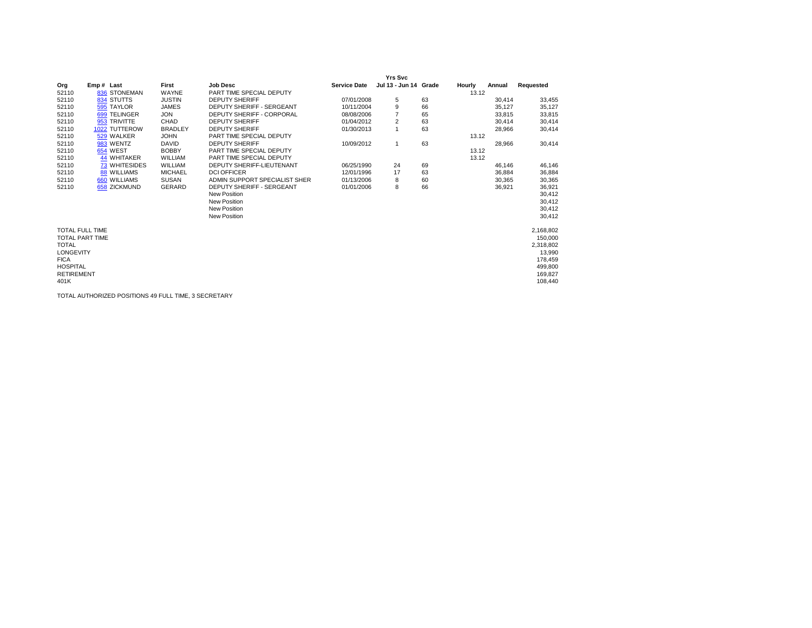|                        |                      |                |                                  |                     | <b>Yrs Svc</b>        |    |        |        |           |
|------------------------|----------------------|----------------|----------------------------------|---------------------|-----------------------|----|--------|--------|-----------|
| Org                    | Emp# Last            | First          | <b>Job Desc</b>                  | <b>Service Date</b> | Jul 13 - Jun 14 Grade |    | Hourly | Annual | Requested |
| 52110                  | 836 STONEMAN         | WAYNE          | PART TIME SPECIAL DEPUTY         |                     |                       |    | 13.12  |        |           |
| 52110                  | 834 STUTTS           | <b>JUSTIN</b>  | <b>DEPUTY SHERIFF</b>            | 07/01/2008          | 5                     | 63 |        | 30,414 | 33,455    |
| 52110                  | 595 TAYLOR           | <b>JAMES</b>   | DEPUTY SHERIFF - SERGEANT        | 10/11/2004          | 9                     | 66 |        | 35,127 | 35,127    |
| 52110                  | 699 TELINGER         | <b>JON</b>     | <b>DEPUTY SHERIFF - CORPORAL</b> | 08/08/2006          |                       | 65 |        | 33,815 | 33,815    |
| 52110                  | 953 TRIVITTE         | CHAD           | <b>DEPUTY SHERIFF</b>            | 01/04/2012          | 2                     | 63 |        | 30,414 | 30,414    |
| 52110                  | 1022 TUTTEROW        | <b>BRADLEY</b> | <b>DEPUTY SHERIFF</b>            | 01/30/2013          | $\overline{1}$        | 63 |        | 28,966 | 30,414    |
| 52110                  | 529 WALKER           | <b>JOHN</b>    | PART TIME SPECIAL DEPUTY         |                     |                       |    | 13.12  |        |           |
| 52110                  | 983 WENTZ            | <b>DAVID</b>   | <b>DEPUTY SHERIFF</b>            | 10/09/2012          | $\overline{1}$        | 63 |        | 28,966 | 30,414    |
| 52110                  | 654 WEST             | <b>BOBBY</b>   | PART TIME SPECIAL DEPUTY         |                     |                       |    | 13.12  |        |           |
| 52110                  | 44 WHITAKER          | WILLIAM        | PART TIME SPECIAL DEPUTY         |                     |                       |    | 13.12  |        |           |
| 52110                  | <b>73 WHITESIDES</b> | WILLIAM        | DEPUTY SHERIFF-LIEUTENANT        | 06/25/1990          | 24                    | 69 |        | 46.146 | 46,146    |
| 52110                  | <b>88 WILLIAMS</b>   | <b>MICHAEL</b> | <b>DCI OFFICER</b>               | 12/01/1996          | 17                    | 63 |        | 36,884 | 36,884    |
| 52110                  | 660 WILLIAMS         | <b>SUSAN</b>   | ADMIN SUPPORT SPECIALIST SHER    | 01/13/2006          | 8                     | 60 |        | 30,365 | 30,365    |
| 52110                  | 658 ZICKMUND         | GERARD         | DEPUTY SHERIFF - SERGEANT        | 01/01/2006          | 8                     | 66 |        | 36,921 | 36,921    |
|                        |                      |                | <b>New Position</b>              |                     |                       |    |        |        | 30,412    |
|                        |                      |                | <b>New Position</b>              |                     |                       |    |        |        | 30,412    |
|                        |                      |                | <b>New Position</b>              |                     |                       |    |        |        | 30,412    |
|                        |                      |                | <b>New Position</b>              |                     |                       |    |        |        | 30,412    |
| <b>TOTAL FULL TIME</b> |                      |                |                                  |                     |                       |    |        |        | 2,168,802 |
| <b>TOTAL PART TIME</b> |                      |                |                                  |                     |                       |    |        |        | 150,000   |
| <b>TOTAL</b>           |                      |                |                                  |                     |                       |    |        |        | 2,318,802 |
| <b>LONGEVITY</b>       |                      |                |                                  |                     |                       |    |        |        | 13,990    |
| <b>FICA</b>            |                      |                |                                  |                     |                       |    |        |        | 178,459   |
| <b>HOSPITAL</b>        |                      |                |                                  |                     |                       |    |        |        | 499,800   |
| <b>RETIREMENT</b>      |                      |                |                                  |                     |                       |    |        |        | 169.827   |
| 401K                   |                      |                |                                  |                     |                       |    |        |        | 108,440   |
|                        |                      |                |                                  |                     |                       |    |        |        |           |

TOTAL AUTHORIZED POSITIONS 49 FULL TIME, 3 SECRETARY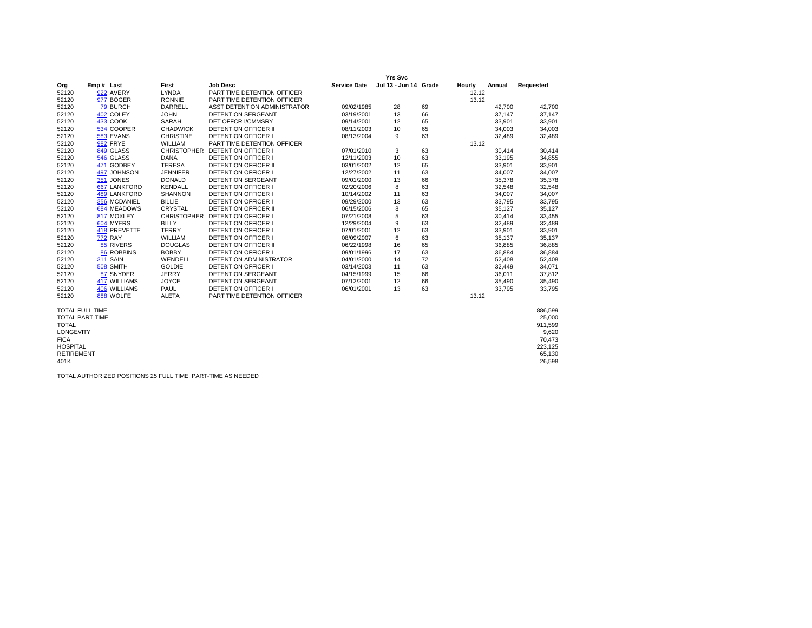|                        |                     |                    |                                 |                     | <b>Yrs Svc</b>        |    |        |        |           |
|------------------------|---------------------|--------------------|---------------------------------|---------------------|-----------------------|----|--------|--------|-----------|
| Org                    | Emp# Last           | First              | <b>Job Desc</b>                 | <b>Service Date</b> | Jul 13 - Jun 14 Grade |    | Hourly | Annual | Requested |
| 52120                  | 922 AVERY           | <b>LYNDA</b>       | PART TIME DETENTION OFFICER     |                     |                       |    | 12.12  |        |           |
| 52120                  | 977 BOGER           | <b>RONNIE</b>      | PART TIME DETENTION OFFICER     |                     |                       |    | 13.12  |        |           |
| 52120                  | 79 BURCH            | DARRELL            | ASST DETENTION ADMINISTRATOR    | 09/02/1985          | 28                    | 69 |        | 42,700 | 42.700    |
| 52120                  | 402 COLEY           | <b>JOHN</b>        | <b>DETENTION SERGEANT</b>       | 03/19/2001          | 13                    | 66 |        | 37,147 | 37,147    |
| 52120                  | <b>433 COOK</b>     | SARAH              | <b>DET OFFCR I/CMMSRY</b>       | 09/14/2001          | 12                    | 65 |        | 33,901 | 33,901    |
| 52120                  | 534 COOPER          | <b>CHADWICK</b>    | <b>DETENTION OFFICER II</b>     | 08/11/2003          | 10                    | 65 |        | 34,003 | 34,003    |
| 52120                  | 583 EVANS           | <b>CHRISTINE</b>   | DETENTION OFFICER I             | 08/13/2004          | 9                     | 63 |        | 32,489 | 32,489    |
| 52120                  | 982 FRYE            | WILLIAM            | PART TIME DETENTION OFFICER     |                     |                       |    | 13.12  |        |           |
| 52120                  | 849 GLASS           |                    | CHRISTOPHER DETENTION OFFICER I | 07/01/2010          | 3                     | 63 |        | 30,414 | 30,414    |
| 52120                  | 546 GLASS           | <b>DANA</b>        | <b>DETENTION OFFICER I</b>      | 12/11/2003          | 10                    | 63 |        | 33,195 | 34,855    |
| 52120                  | 471 GODBEY          | <b>TERESA</b>      | <b>DETENTION OFFICER II</b>     | 03/01/2002          | 12                    | 65 |        | 33,901 | 33,901    |
| 52120                  | 497 JOHNSON         | <b>JENNIFER</b>    | DETENTION OFFICER I             | 12/27/2002          | 11                    | 63 |        | 34,007 | 34,007    |
| 52120                  | 351 JONES           | <b>DONALD</b>      | <b>DETENTION SERGEANT</b>       | 09/01/2000          | 13                    | 66 |        | 35,378 | 35,378    |
| 52120                  | 667 LANKFORD        | <b>KENDALL</b>     | <b>DETENTION OFFICER I</b>      | 02/20/2006          | 8                     | 63 |        | 32,548 | 32,548    |
| 52120                  | <b>489 LANKFORD</b> | <b>SHANNON</b>     | DETENTION OFFICER I             | 10/14/2002          | 11                    | 63 |        | 34,007 | 34,007    |
| 52120                  | 356 MCDANIEL        | <b>BILLIE</b>      | <b>DETENTION OFFICER I</b>      | 09/29/2000          | 13                    | 63 |        | 33,795 | 33,795    |
| 52120                  | 684 MEADOWS         | CRYSTAL            | <b>DETENTION OFFICER II</b>     | 06/15/2006          | 8                     | 65 |        | 35,127 | 35,127    |
| 52120                  | 817 MOXLEY          | <b>CHRISTOPHER</b> | <b>DETENTION OFFICER I</b>      | 07/21/2008          | 5                     | 63 |        | 30,414 | 33,455    |
| 52120                  | 604 MYERS           | <b>BILLY</b>       | <b>DETENTION OFFICER I</b>      | 12/29/2004          | 9                     | 63 |        | 32,489 | 32,489    |
| 52120                  | 418 PREVETTE        | <b>TERRY</b>       | DETENTION OFFICER I             | 07/01/2001          | 12                    | 63 |        | 33,901 | 33,901    |
| 52120                  | <b>772 RAY</b>      | WILLIAM            | <b>DETENTION OFFICER I</b>      | 08/09/2007          | 6                     | 63 |        | 35,137 | 35,137    |
| 52120                  | 85 RIVERS           | <b>DOUGLAS</b>     | <b>DETENTION OFFICER II</b>     | 06/22/1998          | 16                    | 65 |        | 36,885 | 36,885    |
| 52120                  | 86 ROBBINS          | <b>BOBBY</b>       | <b>DETENTION OFFICER I</b>      | 09/01/1996          | 17                    | 63 |        | 36,884 | 36,884    |
| 52120                  | <b>311 SAIN</b>     | WENDELL            | <b>DETENTION ADMINISTRATOR</b>  | 04/01/2000          | 14                    | 72 |        | 52,408 | 52,408    |
| 52120                  | 508 SMITH           | <b>GOLDIE</b>      | <b>DETENTION OFFICER I</b>      | 03/14/2003          | 11                    | 63 |        | 32,449 | 34,071    |
| 52120                  | 87 SNYDER           | <b>JERRY</b>       | <b>DETENTION SERGEANT</b>       | 04/15/1999          | 15                    | 66 |        | 36,011 | 37,812    |
| 52120                  | 417 WILLIAMS        | <b>JOYCE</b>       | DETENTION SERGEANT              | 07/12/2001          | 12                    | 66 |        | 35,490 | 35,490    |
| 52120                  | 406 WILLIAMS        | PAUL               | DETENTION OFFICER I             | 06/01/2001          | 13                    | 63 |        | 33,795 | 33,795    |
| 52120                  | 888 WOLFE           | <b>ALETA</b>       | PART TIME DETENTION OFFICER     |                     |                       |    | 13.12  |        |           |
| <b>TOTAL FULL TIME</b> |                     |                    |                                 |                     |                       |    |        |        | 886.599   |
| <b>TOTAL PART TIME</b> |                     |                    |                                 |                     |                       |    |        |        | 25,000    |
| <b>TOTAL</b>           |                     |                    |                                 |                     |                       |    |        |        | 911,599   |
| LONGEVITY              |                     |                    |                                 |                     |                       |    |        |        | 9.620     |
| <b>FICA</b>            |                     |                    |                                 |                     |                       |    |        |        | 70,473    |
| <b>HOSPITAL</b>        |                     |                    |                                 |                     |                       |    |        |        | 223,125   |
| <b>RETIREMENT</b>      |                     |                    |                                 |                     |                       |    |        |        | 65,130    |
| 401K                   |                     |                    |                                 |                     |                       |    |        |        | 26,598    |
|                        |                     |                    |                                 |                     |                       |    |        |        |           |
|                        |                     |                    |                                 |                     |                       |    |        |        |           |

TOTAL AUTHORIZED POSITIONS 25 FULL TIME, PART-TIME AS NEEDED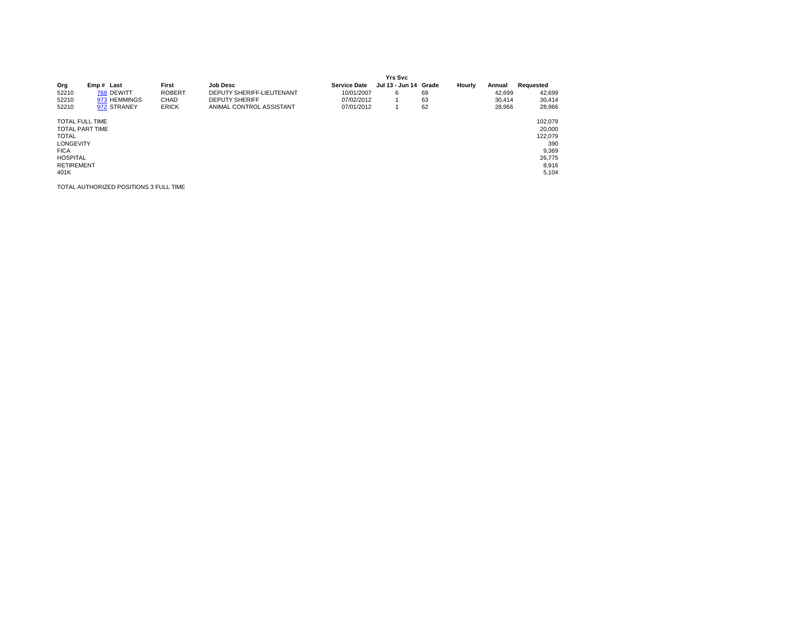|                        |              |               |                           |                     | <b>Yrs Svc</b>        |    |        |        |           |
|------------------------|--------------|---------------|---------------------------|---------------------|-----------------------|----|--------|--------|-----------|
| Org                    | Emp# Last    | First         | <b>Job Desc</b>           | <b>Service Date</b> | Jul 13 - Jun 14 Grade |    | Hourly | Annual | Requested |
| 52210                  | 768 DEWITT   | <b>ROBERT</b> | DEPUTY SHERIFF-LIEUTENANT | 10/01/2007          | 6                     | 69 |        | 42.699 | 42,699    |
| 52210                  | 973 HEMMINGS | CHAD          | <b>DEPUTY SHERIFF</b>     | 07/02/2012          |                       | 63 |        | 30.414 | 30,414    |
| 52210                  | 972 STRANEY  | <b>ERICK</b>  | ANIMAL CONTROL ASSISTANT  | 07/01/2012          |                       | 62 |        | 28.966 | 28,966    |
| <b>TOTAL FULL TIME</b> |              |               |                           |                     |                       |    |        |        | 102.079   |
| <b>TOTAL PART TIME</b> |              |               |                           |                     |                       |    |        |        | 20,000    |
| <b>TOTAL</b>           |              |               |                           |                     |                       |    |        |        | 122.079   |
| <b>LONGEVITY</b>       |              |               |                           |                     |                       |    |        |        | 390       |
| <b>FICA</b>            |              |               |                           |                     |                       |    |        |        | 9,369     |
| <b>HOSPITAL</b>        |              |               |                           |                     |                       |    |        |        | 26,775    |
| <b>RETIREMENT</b>      |              |               |                           |                     |                       |    |        |        | 8,916     |
| 401K                   |              |               |                           |                     |                       |    |        |        | 5,104     |

TOTAL AUTHORIZED POSITIONS 3 FULL TIME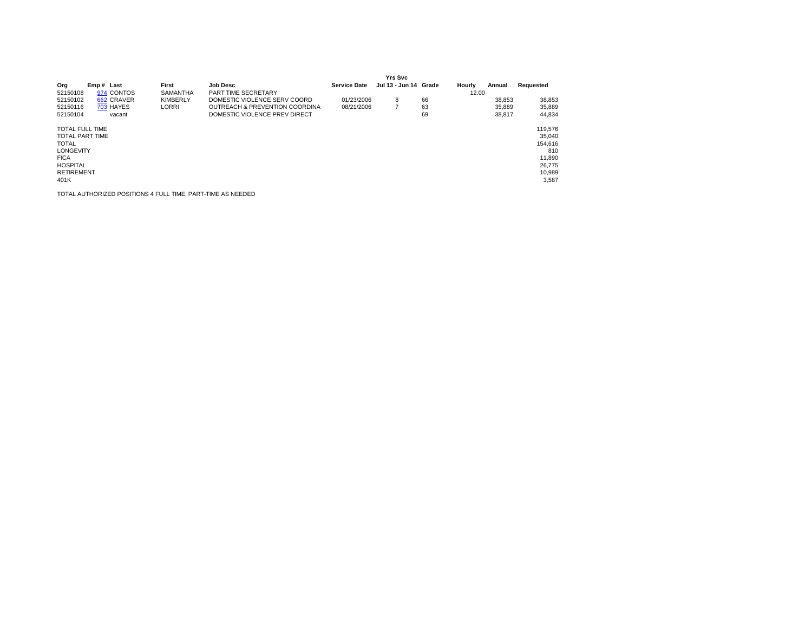|                        |            |                 |                                |                     | Yrs Svc               |    |        |        |           |
|------------------------|------------|-----------------|--------------------------------|---------------------|-----------------------|----|--------|--------|-----------|
| Org                    | Emp# Last  | First           | <b>Job Desc</b>                | <b>Service Date</b> | Jul 13 - Jun 14 Grade |    | Hourly | Annual | Requested |
| 52150108               | 974 CONTOS | SAMANTHA        | PART TIME SECRETARY            |                     |                       |    | 12.00  |        |           |
| 52150102               | 662 CRAVER | <b>KIMBERLY</b> | DOMESTIC VIOLENCE SERV COORD   | 01/23/2006          | 8                     | 66 |        | 38,853 | 38,853    |
| 52150116               | 703 HAYES  | <b>LORRI</b>    | OUTREACH & PREVENTION COORDINA | 08/21/2006          | 7                     | 63 |        | 35.889 | 35,889    |
| 52150104               | vacant     |                 | DOMESTIC VIOLENCE PREV DIRECT  |                     |                       | 69 |        | 38.817 | 44.834    |
| <b>TOTAL FULL TIME</b> |            |                 |                                |                     |                       |    |        |        | 119,576   |
| <b>TOTAL PART TIME</b> |            |                 |                                |                     |                       |    |        |        | 35.040    |
| <b>TOTAL</b>           |            |                 |                                |                     |                       |    |        |        | 154,616   |
| <b>LONGEVITY</b>       |            |                 |                                |                     |                       |    |        |        | 810       |
| <b>FICA</b>            |            |                 |                                |                     |                       |    |        |        | 11,890    |
| <b>HOSPITAL</b>        |            |                 |                                |                     |                       |    |        |        | 26,775    |
| <b>RETIREMENT</b>      |            |                 |                                |                     |                       |    |        |        | 10,989    |
| 401K                   |            |                 |                                |                     |                       |    |        |        | 3,587     |
|                        |            |                 |                                |                     |                       |    |        |        |           |

TOTAL AUTHORIZED POSITIONS 4 FULL TIME, PART-TIME AS NEEDED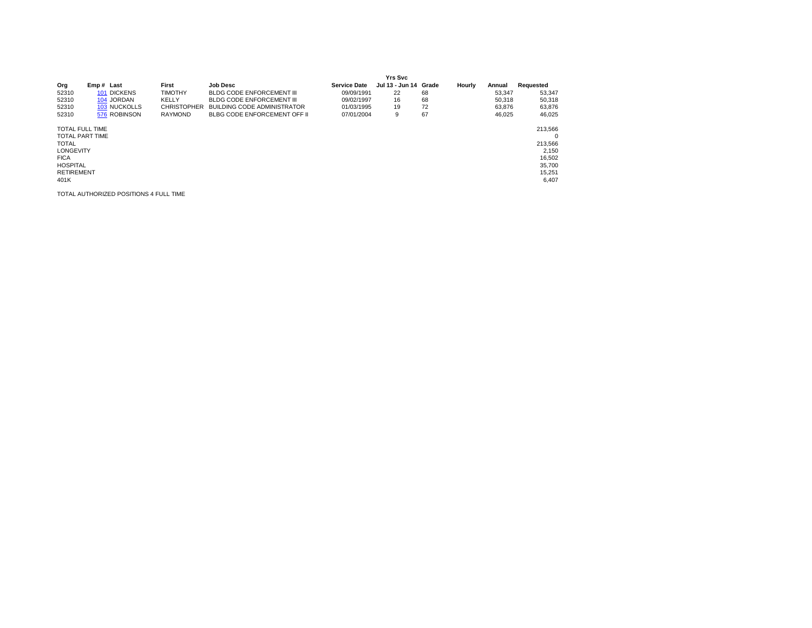|                                                                                                                        |                     |                    |                                    |                     | <b>Yrs Svc</b>        |    |        |        |                                                             |
|------------------------------------------------------------------------------------------------------------------------|---------------------|--------------------|------------------------------------|---------------------|-----------------------|----|--------|--------|-------------------------------------------------------------|
| Org                                                                                                                    | Emp# Last           | First              | <b>Job Desc</b>                    | <b>Service Date</b> | Jul 13 - Jun 14 Grade |    | Hourly | Annual | Requested                                                   |
| 52310                                                                                                                  | 101 DICKENS         | <b>TIMOTHY</b>     | BLDG CODE ENFORCEMENT III          | 09/09/1991          | 22                    | 68 |        | 53,347 | 53,347                                                      |
| 52310                                                                                                                  | 104 JORDAN          | KELLY              | BLDG CODE ENFORCEMENT III          | 09/02/1997          | 16                    | 68 |        | 50,318 | 50,318                                                      |
| 52310                                                                                                                  | <b>103 NUCKOLLS</b> | <b>CHRISTOPHER</b> | <b>BUILDING CODE ADMINISTRATOR</b> | 01/03/1995          | 19                    | 72 |        | 63.876 | 63,876                                                      |
| 52310                                                                                                                  | 576 ROBINSON        | <b>RAYMOND</b>     | BLBG CODE ENFORCEMENT OFF II       | 07/01/2004          | 9                     | 67 |        | 46,025 | 46,025                                                      |
| <b>TOTAL FULL TIME</b><br><b>TOTAL PART TIME</b><br><b>TOTAL</b><br><b>LONGEVITY</b><br><b>FICA</b><br><b>HOSPITAL</b> |                     |                    |                                    |                     |                       |    |        |        | 213,566<br>$\Omega$<br>213.566<br>2,150<br>16,502<br>35,700 |
| <b>RETIREMENT</b><br>401K                                                                                              |                     |                    |                                    |                     |                       |    |        |        | 15,251<br>6,407                                             |

TOTAL AUTHORIZED POSITIONS 4 FULL TIME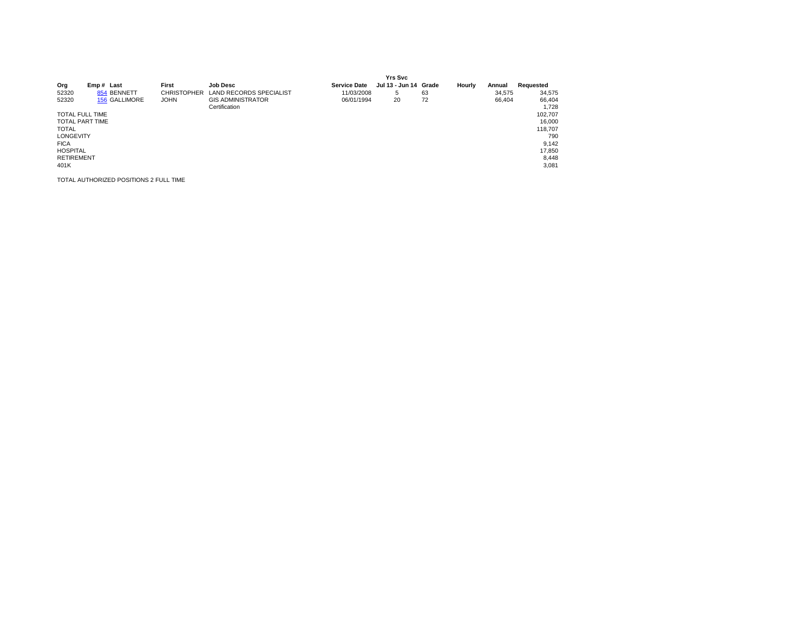|                        |                                        |                    |                                |                     | <b>Yrs Svc</b>        |    |        |        |           |
|------------------------|----------------------------------------|--------------------|--------------------------------|---------------------|-----------------------|----|--------|--------|-----------|
| Org                    | Emp# Last                              | First              | <b>Job Desc</b>                | <b>Service Date</b> | Jul 13 - Jun 14 Grade |    | Hourly | Annual | Requested |
| 52320                  | 854 BENNETT                            | <b>CHRISTOPHER</b> | <b>LAND RECORDS SPECIALIST</b> | 11/03/2008          | 5                     | 63 |        | 34.575 | 34,575    |
| 52320                  | 156 GALLIMORE                          | <b>JOHN</b>        | <b>GIS ADMINISTRATOR</b>       | 06/01/1994          | 20                    | 72 |        | 66,404 | 66,404    |
|                        |                                        |                    | Certification                  |                     |                       |    |        |        | 1.728     |
| <b>TOTAL FULL TIME</b> |                                        |                    |                                |                     |                       |    |        |        | 102,707   |
| <b>TOTAL PART TIME</b> |                                        |                    |                                |                     |                       |    |        |        | 16,000    |
| <b>TOTAL</b>           |                                        |                    |                                |                     |                       |    |        |        | 118,707   |
| <b>LONGEVITY</b>       |                                        |                    |                                |                     |                       |    |        |        | 790       |
| <b>FICA</b>            |                                        |                    |                                |                     |                       |    |        |        | 9,142     |
| <b>HOSPITAL</b>        |                                        |                    |                                |                     |                       |    |        |        | 17,850    |
| <b>RETIREMENT</b>      |                                        |                    |                                |                     |                       |    |        |        | 8,448     |
| 401K                   |                                        |                    |                                |                     |                       |    |        |        | 3,081     |
|                        | TOTAL AUTHORIZED POSITIONS 2 FULL TIME |                    |                                |                     |                       |    |        |        |           |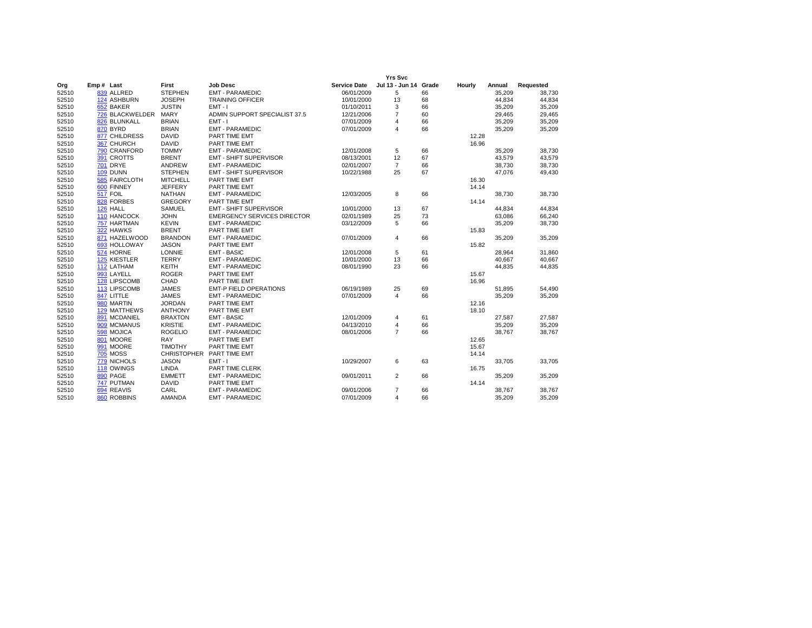|       |                     |                    |                                    |                     | <b>Yrs Svc</b>          |    |        |        |           |
|-------|---------------------|--------------------|------------------------------------|---------------------|-------------------------|----|--------|--------|-----------|
| Org   | Emp# Last           | First              | <b>Job Desc</b>                    | <b>Service Date</b> | Jul 13 - Jun 14 Grade   |    | Hourly | Annual | Requested |
| 52510 | 839 ALLRED          | <b>STEPHEN</b>     | <b>EMT - PARAMEDIC</b>             | 06/01/2009          | 5                       | 66 |        | 35,209 | 38.730    |
| 52510 | 124 ASHBURN         | <b>JOSEPH</b>      | <b>TRAINING OFFICER</b>            | 10/01/2000          | 13                      | 68 |        | 44.834 | 44,834    |
| 52510 | 652 BAKER           | <b>JUSTIN</b>      | $EMT - I$                          | 01/10/2011          | 3                       | 66 |        | 35,209 | 35,209    |
| 52510 | 726 BLACKWELDER     | <b>MARY</b>        | ADMIN SUPPORT SPECIALIST 37.5      | 12/21/2006          | $\overline{7}$          | 60 |        | 29,465 | 29,465    |
| 52510 | 826 BLUNKALL        | <b>BRIAN</b>       | $EMT - I$                          | 07/01/2009          | $\overline{4}$          | 66 |        | 35,209 | 35,209    |
| 52510 | 870 BYRD            | <b>BRIAN</b>       | <b>EMT - PARAMEDIC</b>             | 07/01/2009          | $\overline{4}$          | 66 |        | 35,209 | 35,209    |
| 52510 | 877 CHILDRESS       | <b>DAVID</b>       | PART TIME EMT                      |                     |                         |    | 12.28  |        |           |
| 52510 | 367 CHURCH          | <b>DAVID</b>       | PART TIME EMT                      |                     |                         |    | 16.96  |        |           |
| 52510 | 790 CRANFORD        | <b>TOMMY</b>       | <b>EMT - PARAMEDIC</b>             | 12/01/2008          | 5                       | 66 |        | 35,209 | 38.730    |
| 52510 | 391 CROTTS          | <b>BRENT</b>       | EMT - SHIFT SUPERVISOR             | 08/13/2001          | 12                      | 67 |        | 43,579 | 43,579    |
| 52510 | <b>701 DRYE</b>     | ANDREW             | <b>EMT - PARAMEDIC</b>             | 02/01/2007          | $\overline{7}$          | 66 |        | 38,730 | 38,730    |
| 52510 | 109 DUNN            | <b>STEPHEN</b>     | <b>EMT - SHIFT SUPERVISOR</b>      | 10/22/1988          | 25                      | 67 |        | 47,076 | 49,430    |
| 52510 | 585 FAIRCLOTH       | <b>MITCHELL</b>    | PART TIME EMT                      |                     |                         |    | 16.30  |        |           |
| 52510 | 600 FINNEY          | <b>JEFFERY</b>     | PART TIME EMT                      |                     |                         |    | 14.14  |        |           |
| 52510 | 517 FOIL            | <b>NATHAN</b>      | <b>EMT - PARAMEDIC</b>             | 12/03/2005          | 8                       | 66 |        | 38,730 | 38,730    |
| 52510 | 828 FORBES          | <b>GREGORY</b>     | PART TIME EMT                      |                     |                         |    | 14.14  |        |           |
| 52510 | 126 HALL            | <b>SAMUEL</b>      | <b>EMT - SHIFT SUPERVISOR</b>      | 10/01/2000          | 13                      | 67 |        | 44,834 | 44,834    |
| 52510 | 110 HANCOCK         | <b>JOHN</b>        | <b>EMERGENCY SERVICES DIRECTOR</b> | 02/01/1989          | 25                      | 73 |        | 63,086 | 66,240    |
| 52510 | 757 HARTMAN         | <b>KEVIN</b>       | <b>EMT - PARAMEDIC</b>             | 03/12/2009          | 5                       | 66 |        | 35,209 | 38,730    |
| 52510 | 322 HAWKS           | <b>BRENT</b>       | PART TIME EMT                      |                     |                         |    | 15.83  |        |           |
| 52510 | 871 HAZELWOOD       | <b>BRANDON</b>     | <b>EMT - PARAMEDIC</b>             | 07/01/2009          | $\overline{4}$          | 66 |        | 35,209 | 35,209    |
| 52510 | 693 HOLLOWAY        | <b>JASON</b>       | PART TIME EMT                      |                     |                         |    | 15.82  |        |           |
| 52510 | 574 HORNE           | LONNIE             | <b>EMT - BASIC</b>                 | 12/01/2008          | 5                       | 61 |        | 28,964 | 31,860    |
| 52510 | 125 KIESTLER        | <b>TERRY</b>       | <b>EMT - PARAMEDIC</b>             | 10/01/2000          | 13                      | 66 |        | 40,667 | 40,667    |
| 52510 | 112 LATHAM          | <b>KEITH</b>       | <b>EMT - PARAMEDIC</b>             | 08/01/1990          | 23                      | 66 |        | 44,835 | 44,835    |
| 52510 | 993 LAYELL          | <b>ROGER</b>       | PART TIME EMT                      |                     |                         |    | 15.67  |        |           |
| 52510 | 128 LIPSCOMB        | CHAD               | PART TIME EMT                      |                     |                         |    | 16.96  |        |           |
| 52510 | 113 LIPSCOMB        | <b>JAMES</b>       | <b>EMT-P FIELD OPERATIONS</b>      | 06/19/1989          | 25                      | 69 |        | 51,895 | 54,490    |
| 52510 | 847 LITTLE          | <b>JAMES</b>       | <b>EMT - PARAMEDIC</b>             | 07/01/2009          | $\overline{\mathbf{4}}$ | 66 |        | 35,209 | 35,209    |
| 52510 | 980 MARTIN          | <b>JORDAN</b>      | PART TIME EMT                      |                     |                         |    | 12.16  |        |           |
| 52510 | <b>129 MATTHEWS</b> | <b>ANTHONY</b>     | PART TIME EMT                      |                     |                         |    | 18.10  |        |           |
| 52510 | 891 MCDANIEL        | <b>BRAXTON</b>     | <b>EMT - BASIC</b>                 | 12/01/2009          | $\overline{4}$          | 61 |        | 27,587 | 27,587    |
| 52510 | 909 MCMANUS         | <b>KRISTIE</b>     | <b>EMT - PARAMEDIC</b>             | 04/13/2010          | $\overline{4}$          | 66 |        | 35,209 | 35,209    |
| 52510 | 598 MOJICA          | <b>ROGELIO</b>     | <b>EMT - PARAMEDIC</b>             | 08/01/2006          | $\overline{7}$          | 66 |        | 38,767 | 38,767    |
| 52510 | 801 MOORE           | <b>RAY</b>         | PART TIME EMT                      |                     |                         |    | 12.65  |        |           |
| 52510 | 991 MOORE           | <b>TIMOTHY</b>     | PART TIME EMT                      |                     |                         |    | 15.67  |        |           |
| 52510 | <b>705 MOSS</b>     | <b>CHRISTOPHER</b> | PART TIME EMT                      |                     |                         |    | 14.14  |        |           |
| 52510 | 779 NICHOLS         | <b>JASON</b>       | $EMT - I$                          | 10/29/2007          | 6                       | 63 |        | 33,705 | 33,705    |
| 52510 | 118 OWINGS          | <b>LINDA</b>       | PART TIME CLERK                    |                     |                         |    | 16.75  |        |           |
| 52510 | 890 PAGE            | <b>EMMETT</b>      | <b>EMT - PARAMEDIC</b>             | 09/01/2011          | 2                       | 66 |        | 35,209 | 35,209    |
| 52510 | 747 PUTMAN          | <b>DAVID</b>       | PART TIME EMT                      |                     |                         |    | 14.14  |        |           |
| 52510 | 694 REAVIS          | CARL               | <b>EMT - PARAMEDIC</b>             | 09/01/2006          | $\overline{7}$          | 66 |        | 38,767 | 38,767    |
| 52510 | 860 ROBBINS         | <b>AMANDA</b>      | <b>EMT - PARAMEDIC</b>             | 07/01/2009          | $\overline{4}$          | 66 |        | 35,209 | 35,209    |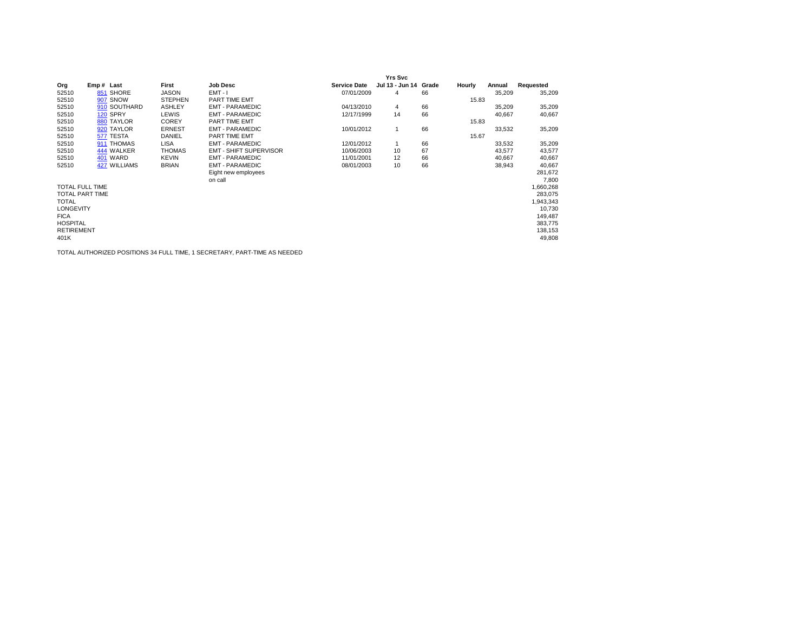|                        |              |                |                               |                     | <b>Yrs Svc</b>  |       |        |        |           |
|------------------------|--------------|----------------|-------------------------------|---------------------|-----------------|-------|--------|--------|-----------|
| Org                    | Emp# Last    | First          | <b>Job Desc</b>               | <b>Service Date</b> | Jul 13 - Jun 14 | Grade | Hourly | Annual | Requested |
| 52510                  | 851 SHORE    | <b>JASON</b>   | $EMT - I$                     | 07/01/2009          | 4               | 66    |        | 35,209 | 35,209    |
| 52510                  | 907 SNOW     | <b>STEPHEN</b> | PART TIME EMT                 |                     |                 |       | 15.83  |        |           |
| 52510                  | 910 SOUTHARD | <b>ASHLEY</b>  | <b>EMT - PARAMEDIC</b>        | 04/13/2010          | 4               | 66    |        | 35,209 | 35,209    |
| 52510                  | 120 SPRY     | LEWIS          | <b>EMT - PARAMEDIC</b>        | 12/17/1999          | 14              | 66    |        | 40,667 | 40,667    |
| 52510                  | 880 TAYLOR   | <b>COREY</b>   | PART TIME EMT                 |                     |                 |       | 15.83  |        |           |
| 52510                  | 920 TAYLOR   | <b>ERNEST</b>  | <b>EMT - PARAMEDIC</b>        | 10/01/2012          | 1               | 66    |        | 33,532 | 35,209    |
| 52510                  | 577 TESTA    | DANIEL         | PART TIME EMT                 |                     |                 |       | 15.67  |        |           |
| 52510                  | 911 THOMAS   | <b>LISA</b>    | <b>EMT - PARAMEDIC</b>        | 12/01/2012          | 1               | 66    |        | 33,532 | 35,209    |
| 52510                  | 444 WALKER   | <b>THOMAS</b>  | <b>EMT - SHIFT SUPERVISOR</b> | 10/06/2003          | 10              | 67    |        | 43,577 | 43,577    |
| 52510                  | 401 WARD     | <b>KEVIN</b>   | <b>EMT - PARAMEDIC</b>        | 11/01/2001          | 12              | 66    |        | 40,667 | 40,667    |
| 52510                  | 427 WILLIAMS | <b>BRIAN</b>   | <b>EMT - PARAMEDIC</b>        | 08/01/2003          | 10              | 66    |        | 38,943 | 40,667    |
|                        |              |                | Eight new employees           |                     |                 |       |        |        | 281,672   |
|                        |              |                | on call                       |                     |                 |       |        |        | 7,800     |
| <b>TOTAL FULL TIME</b> |              |                |                               |                     |                 |       |        |        | 1,660,268 |
| <b>TOTAL PART TIME</b> |              |                |                               |                     |                 |       |        |        | 283,075   |
| <b>TOTAL</b>           |              |                |                               |                     |                 |       |        |        | 1,943,343 |
| <b>LONGEVITY</b>       |              |                |                               |                     |                 |       |        |        | 10,730    |
| <b>FICA</b>            |              |                |                               |                     |                 |       |        |        | 149,487   |
| <b>HOSPITAL</b>        |              |                |                               |                     |                 |       |        |        | 383,775   |
| <b>RETIREMENT</b>      |              |                |                               |                     |                 |       |        |        | 138,153   |
| 401K                   |              |                |                               |                     |                 |       |        |        | 49,808    |
|                        |              |                |                               |                     |                 |       |        |        |           |

TOTAL AUTHORIZED POSITIONS 34 FULL TIME, 1 SECRETARY, PART-TIME AS NEEDED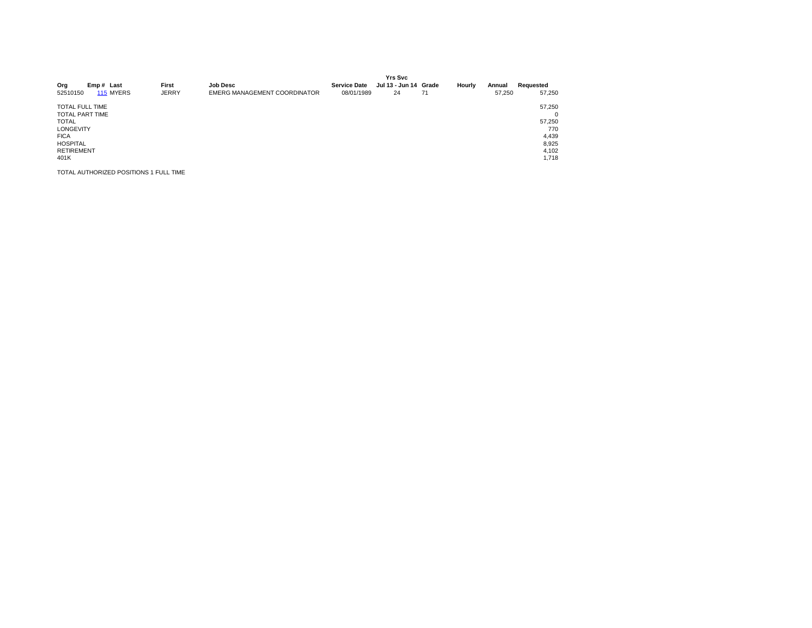| Org<br>52510150                                                                                                                                     | Emp# Last | 115 MYERS | First<br><b>JERRY</b> | <b>Job Desc</b><br>EMERG MANAGEMENT COORDINATOR | <b>Service Date</b><br>08/01/1989 | <b>Yrs Svc</b><br>Jul 13 - Jun 14 Grade<br>24 | 71 | Hourly | Annual<br>57.250 | Requested<br>57.250                                                     |
|-----------------------------------------------------------------------------------------------------------------------------------------------------|-----------|-----------|-----------------------|-------------------------------------------------|-----------------------------------|-----------------------------------------------|----|--------|------------------|-------------------------------------------------------------------------|
| <b>TOTAL FULL TIME</b><br><b>TOTAL PART TIME</b><br><b>TOTAL</b><br><b>LONGEVITY</b><br><b>FICA</b><br><b>HOSPITAL</b><br><b>RETIREMENT</b><br>401K |           |           |                       |                                                 |                                   |                                               |    |        |                  | 57,250<br>$\Omega$<br>57.250<br>770<br>4,439<br>8,925<br>4,102<br>1,718 |

TOTAL AUTHORIZED POSITIONS 1 FULL TIME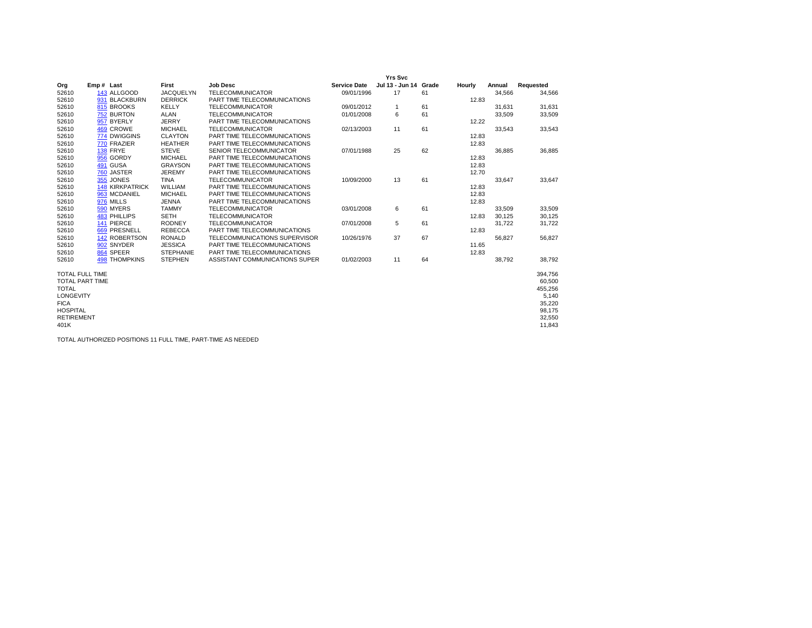|                        |                        |                  |                                |                     | <b>Yrs Svc</b>        |    |        |        |           |
|------------------------|------------------------|------------------|--------------------------------|---------------------|-----------------------|----|--------|--------|-----------|
| Org                    | Emp# Last              | First            | <b>Job Desc</b>                | <b>Service Date</b> | Jul 13 - Jun 14 Grade |    | Hourly | Annual | Requested |
| 52610                  | 143 ALLGOOD            | <b>JACQUELYN</b> | <b>TELECOMMUNICATOR</b>        | 09/01/1996          | 17                    | 61 |        | 34,566 | 34,566    |
| 52610                  | 931 BLACKBURN          | <b>DERRICK</b>   | PART TIME TELECOMMUNICATIONS   |                     |                       |    | 12.83  |        |           |
| 52610                  | 815 BROOKS             | <b>KELLY</b>     | <b>TELECOMMUNICATOR</b>        | 09/01/2012          | $\mathbf{1}$          | 61 |        | 31.631 | 31,631    |
| 52610                  | 752 BURTON             | <b>ALAN</b>      | <b>TELECOMMUNICATOR</b>        | 01/01/2008          | 6                     | 61 |        | 33,509 | 33,509    |
| 52610                  | 957 BYERLY             | <b>JERRY</b>     | PART TIME TELECOMMUNICATIONS   |                     |                       |    | 12.22  |        |           |
| 52610                  | 469 CROWE              | <b>MICHAEL</b>   | <b>TELECOMMUNICATOR</b>        | 02/13/2003          | 11                    | 61 |        | 33,543 | 33,543    |
| 52610                  | 774 DWIGGINS           | <b>CLAYTON</b>   | PART TIME TELECOMMUNICATIONS   |                     |                       |    | 12.83  |        |           |
| 52610                  | 770 FRAZIER            | <b>HEATHER</b>   | PART TIME TELECOMMUNICATIONS   |                     |                       |    | 12.83  |        |           |
| 52610                  | 138 FRYE               | <b>STEVE</b>     | SENIOR TELECOMMUNICATOR        | 07/01/1988          | 25                    | 62 |        | 36,885 | 36,885    |
| 52610                  | 956 GORDY              | <b>MICHAEL</b>   | PART TIME TELECOMMUNICATIONS   |                     |                       |    | 12.83  |        |           |
| 52610                  | 491 GUSA               | <b>GRAYSON</b>   | PART TIME TELECOMMUNICATIONS   |                     |                       |    | 12.83  |        |           |
| 52610                  | 760 JASTER             | <b>JEREMY</b>    | PART TIME TELECOMMUNICATIONS   |                     |                       |    | 12.70  |        |           |
| 52610                  | 355 JONES              | <b>TINA</b>      | <b>TELECOMMUNICATOR</b>        | 10/09/2000          | 13                    | 61 |        | 33,647 | 33,647    |
| 52610                  | <b>148 KIRKPATRICK</b> | WILLIAM          | PART TIME TELECOMMUNICATIONS   |                     |                       |    | 12.83  |        |           |
| 52610                  | 963 MCDANIEL           | <b>MICHAEL</b>   | PART TIME TELECOMMUNICATIONS   |                     |                       |    | 12.83  |        |           |
| 52610                  | 976 MILLS              | <b>JENNA</b>     | PART TIME TELECOMMUNICATIONS   |                     |                       |    | 12.83  |        |           |
| 52610                  | 590 MYERS              | <b>TAMMY</b>     | <b>TELECOMMUNICATOR</b>        | 03/01/2008          | 6                     | 61 |        | 33.509 | 33,509    |
| 52610                  | <b>483 PHILLIPS</b>    | <b>SETH</b>      | <b>TELECOMMUNICATOR</b>        |                     |                       |    | 12.83  | 30.125 | 30,125    |
| 52610                  | 141 PIERCE             | <b>RODNEY</b>    | <b>TELECOMMUNICATOR</b>        | 07/01/2008          | 5                     | 61 |        | 31,722 | 31,722    |
| 52610                  | 669 PRESNELL           | <b>REBECCA</b>   | PART TIME TELECOMMUNICATIONS   |                     |                       |    | 12.83  |        |           |
| 52610                  | 142 ROBERTSON          | <b>RONALD</b>    | TELECOMMUNICATIONS SUPERVISOR  | 10/26/1976          | 37                    | 67 |        | 56.827 | 56,827    |
| 52610                  | 902 SNYDER             | <b>JESSICA</b>   | PART TIME TELECOMMUNICATIONS   |                     |                       |    | 11.65  |        |           |
| 52610                  | 864 SPEER              | <b>STEPHANIE</b> | PART TIME TELECOMMUNICATIONS   |                     |                       |    | 12.83  |        |           |
| 52610                  | <b>498 THOMPKINS</b>   | <b>STEPHEN</b>   | ASSISTANT COMMUNICATIONS SUPER | 01/02/2003          | 11                    | 64 |        | 38,792 | 38,792    |
| <b>TOTAL FULL TIME</b> |                        |                  |                                |                     |                       |    |        |        | 394.756   |
| <b>TOTAL PART TIME</b> |                        |                  |                                |                     |                       |    |        |        | 60,500    |
| <b>TOTAL</b>           |                        |                  |                                |                     |                       |    |        |        | 455,256   |
| <b>LONGEVITY</b>       |                        |                  |                                |                     |                       |    |        |        | 5,140     |
| <b>FICA</b>            |                        |                  |                                |                     |                       |    |        |        | 35,220    |
| <b>HOSPITAL</b>        |                        |                  |                                |                     |                       |    |        |        | 98,175    |
| <b>RETIREMENT</b>      |                        |                  |                                |                     |                       |    |        |        | 32,550    |
| 401K                   |                        |                  |                                |                     |                       |    |        |        | 11.843    |

TOTAL AUTHORIZED POSITIONS 11 FULL TIME, PART-TIME AS NEEDED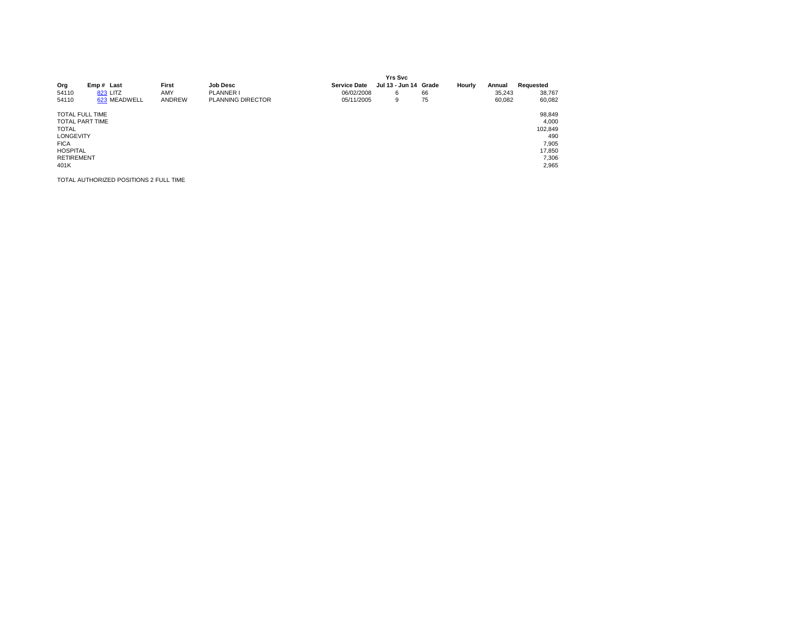| Org<br>54110<br>54110                                                                                                                               | Emp# Last<br>823 LITZ<br>623 MEADWELL  | First<br>AMY<br>ANDREW | <b>Job Desc</b><br>PLANNER I<br><b>PLANNING DIRECTOR</b> | <b>Service Date</b><br>06/02/2008<br>05/11/2005 | <b>Yrs Svc</b><br>Jul 13 - Jun 14 Grade<br>6<br>9 | 66<br>75 | Hourly | Annual<br>35.243<br>60,082 | Requested<br>38,767<br>60,082                                          |
|-----------------------------------------------------------------------------------------------------------------------------------------------------|----------------------------------------|------------------------|----------------------------------------------------------|-------------------------------------------------|---------------------------------------------------|----------|--------|----------------------------|------------------------------------------------------------------------|
| <b>TOTAL FULL TIME</b><br><b>TOTAL PART TIME</b><br><b>TOTAL</b><br><b>LONGEVITY</b><br><b>FICA</b><br><b>HOSPITAL</b><br><b>RETIREMENT</b><br>401K |                                        |                        |                                                          |                                                 |                                                   |          |        |                            | 98,849<br>4,000<br>102,849<br>490<br>7,905<br>17,850<br>7,306<br>2,965 |
|                                                                                                                                                     | TOTAL AUTHORIZED POSITIONS 2 FULL TIME |                        |                                                          |                                                 |                                                   |          |        |                            |                                                                        |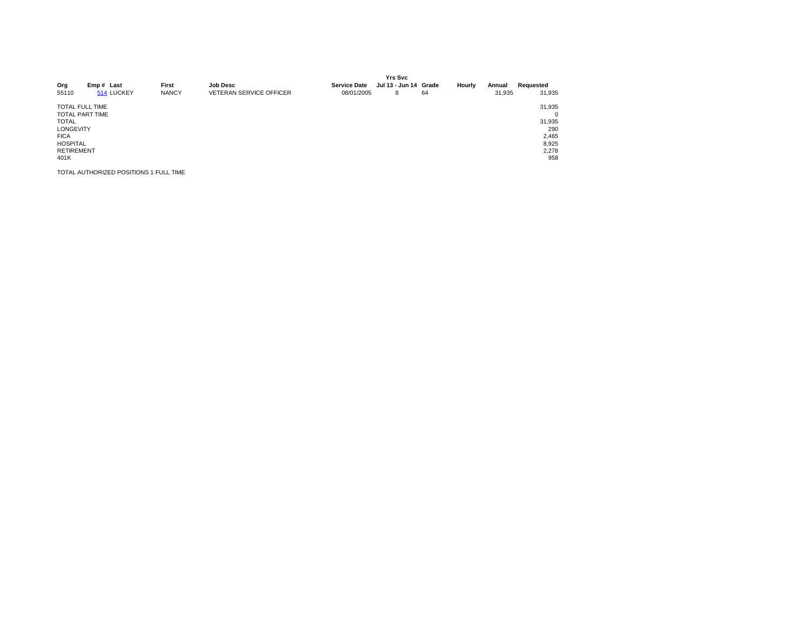| Org<br>55110                                                                                                                                        | Emp# Last<br>514 LUCKEY | First<br><b>NANCY</b> | <b>Job Desc</b><br><b>VETERAN SERVICE OFFICER</b> | <b>Service Date</b><br>08/01/2005 | <b>Yrs Svc</b><br>Jul 13 - Jun 14 Grade<br>8 | 64 | Hourly | Annual<br>31,935 | Requested<br>31,935                                                   |
|-----------------------------------------------------------------------------------------------------------------------------------------------------|-------------------------|-----------------------|---------------------------------------------------|-----------------------------------|----------------------------------------------|----|--------|------------------|-----------------------------------------------------------------------|
| <b>TOTAL FULL TIME</b><br><b>TOTAL PART TIME</b><br><b>TOTAL</b><br><b>LONGEVITY</b><br><b>FICA</b><br><b>HOSPITAL</b><br><b>RETIREMENT</b><br>401K |                         |                       |                                                   |                                   |                                              |    |        |                  | 31,935<br>$\Omega$<br>31,935<br>290<br>2,465<br>8,925<br>2,278<br>958 |

TOTAL AUTHORIZED POSITIONS 1 FULL TIME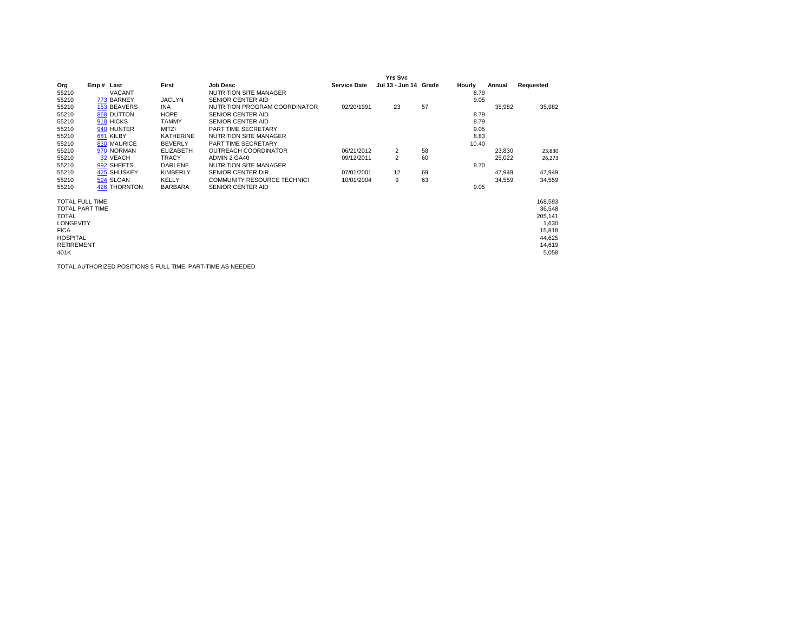|                                                                                                                                              |            |               |                 |                                    |                     | Yrs Svc               |    |        |        |                                                                              |
|----------------------------------------------------------------------------------------------------------------------------------------------|------------|---------------|-----------------|------------------------------------|---------------------|-----------------------|----|--------|--------|------------------------------------------------------------------------------|
| Org                                                                                                                                          | Emp# Last  |               | First           | <b>Job Desc</b>                    | <b>Service Date</b> | Jul 13 - Jun 14 Grade |    | Hourly | Annual | Requested                                                                    |
| 55210                                                                                                                                        |            | <b>VACANT</b> |                 | NUTRITION SITE MANAGER             |                     |                       |    | 8.79   |        |                                                                              |
| 55210                                                                                                                                        | 773 BARNEY |               | <b>JACLYN</b>   | <b>SENIOR CENTER AID</b>           |                     |                       |    | 9.05   |        |                                                                              |
| 55210                                                                                                                                        |            | 153 BEAVERS   | INA.            | NUTRITION PROGRAM COORDINATOR      | 02/20/1991          | 23                    | 57 |        | 35,982 | 35,982                                                                       |
| 55210                                                                                                                                        | 868 DUTTON |               | <b>HOPE</b>     | <b>SENIOR CENTER AID</b>           |                     |                       |    | 8.79   |        |                                                                              |
| 55210                                                                                                                                        | 918 HICKS  |               | <b>TAMMY</b>    | SENIOR CENTER AID                  |                     |                       |    | 8.79   |        |                                                                              |
| 55210                                                                                                                                        | 940 HUNTER |               | <b>MITZI</b>    | PART TIME SECRETARY                |                     |                       |    | 9.05   |        |                                                                              |
| 55210                                                                                                                                        | 681 KILBY  |               | KATHERINE       | <b>NUTRITION SITE MANAGER</b>      |                     |                       |    | 8.83   |        |                                                                              |
| 55210                                                                                                                                        |            | 830 MAURICE   | <b>BEVERLY</b>  | PART TIME SECRETARY                |                     |                       |    | 10.40  |        |                                                                              |
| 55210                                                                                                                                        |            | 970 NORMAN    | ELIZABETH       | <b>OUTREACH COORDINATOR</b>        | 06/21/2012          | 2                     | 58 |        | 23,830 | 23,830                                                                       |
| 55210                                                                                                                                        | 32 VEACH   |               | <b>TRACY</b>    | ADMIN 2 GA40                       | 09/12/2011          | 2                     | 60 |        | 25,022 | 26,273                                                                       |
| 55210                                                                                                                                        | 992 SHEETS |               | DARLENE         | NUTRITION SITE MANAGER             |                     |                       |    | 8.70   |        |                                                                              |
| 55210                                                                                                                                        |            | 425 SHUSKEY   | <b>KIMBERLY</b> | SENIOR CENTER DIR                  | 07/01/2001          | 12                    | 69 |        | 47,949 | 47,949                                                                       |
| 55210                                                                                                                                        | 594 SLOAN  |               | <b>KELLY</b>    | <b>COMMUNITY RESOURCE TECHNICI</b> | 10/01/2004          | 9                     | 63 |        | 34,559 | 34,559                                                                       |
| 55210                                                                                                                                        |            | 426 THORNTON  | <b>BARBARA</b>  | SENIOR CENTER AID                  |                     |                       |    | 9.05   |        |                                                                              |
| TOTAL FULL TIME<br><b>TOTAL PART TIME</b><br><b>TOTAL</b><br><b>LONGEVITY</b><br><b>FICA</b><br><b>HOSPITAL</b><br><b>RETIREMENT</b><br>401K |            |               |                 |                                    |                     |                       |    |        |        | 168,593<br>36,548<br>205,141<br>1,630<br>15,818<br>44,625<br>14,619<br>5,058 |

TOTAL AUTHORIZED POSITIONS 5 FULL TIME, PART-TIME AS NEEDED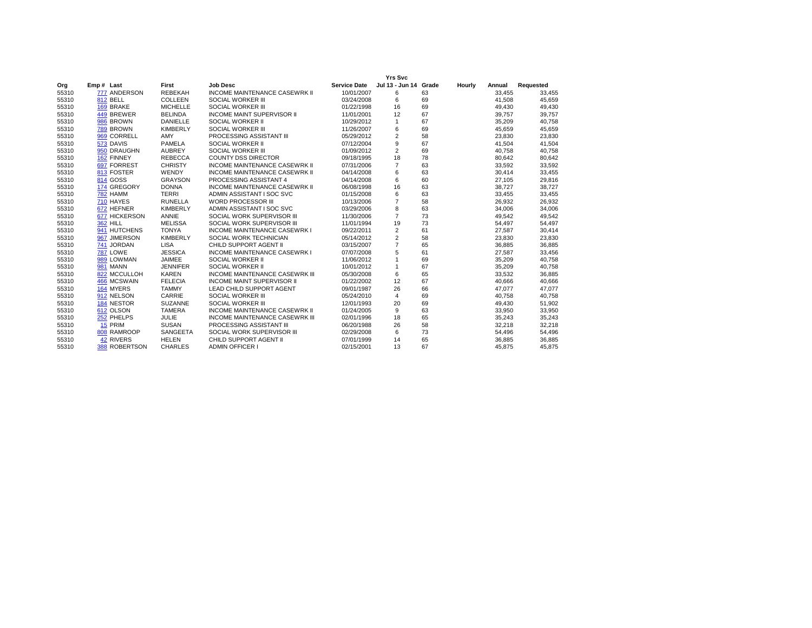|       |                         |                 |                                       |                     | <b>Yrs Svc</b>  |       |        |        |           |
|-------|-------------------------|-----------------|---------------------------------------|---------------------|-----------------|-------|--------|--------|-----------|
| Org   | Emp# Last               | First           | <b>Job Desc</b>                       | <b>Service Date</b> | Jul 13 - Jun 14 | Grade | Hourly | Annual | Requested |
| 55310 | 777 ANDERSON            | <b>REBEKAH</b>  | <b>INCOME MAINTENANCE CASEWRK II</b>  | 10/01/2007          | 6               | 63    |        | 33,455 | 33,455    |
| 55310 | 812 BELL                | <b>COLLEEN</b>  | <b>SOCIAL WORKER III</b>              | 03/24/2008          | 6               | 69    |        | 41,508 | 45,659    |
| 55310 | 169 BRAKE               | <b>MICHELLE</b> | SOCIAL WORKER III                     | 01/22/1998          | 16              | 69    |        | 49,430 | 49,430    |
| 55310 | 449 BREWER              | <b>BELINDA</b>  | <b>INCOME MAINT SUPERVISOR II</b>     | 11/01/2001          | 12              | 67    |        | 39,757 | 39,757    |
| 55310 | 986 BROWN               | <b>DANIELLE</b> | SOCIAL WORKER II                      | 10/29/2012          | $\mathbf{1}$    | 67    |        | 35,209 | 40,758    |
| 55310 | 789 BROWN               | <b>KIMBERLY</b> | SOCIAL WORKER III                     | 11/26/2007          | 6               | 69    |        | 45,659 | 45,659    |
| 55310 | 969 CORRELL             | AMY             | PROCESSING ASSISTANT III              | 05/29/2012          | $\overline{2}$  | 58    |        | 23,830 | 23,830    |
| 55310 | 573 DAVIS               | PAMELA          | SOCIAL WORKER II                      | 07/12/2004          | 9               | 67    |        | 41.504 | 41,504    |
| 55310 | 950 DRAUGHN             | <b>AUBREY</b>   | SOCIAL WORKER III                     | 01/09/2012          | 2               | 69    |        | 40.758 | 40,758    |
| 55310 | 162 FINNEY              | <b>REBECCA</b>  | <b>COUNTY DSS DIRECTOR</b>            | 09/18/1995          | 18              | 78    |        | 80,642 | 80,642    |
| 55310 | 697 FORREST             | <b>CHRISTY</b>  | <b>INCOME MAINTENANCE CASEWRK II</b>  | 07/31/2006          | $\overline{7}$  | 63    |        | 33,592 | 33,592    |
| 55310 | 813 FOSTER              | WENDY           | <b>INCOME MAINTENANCE CASEWRK II</b>  | 04/14/2008          | 6               | 63    |        | 30,414 | 33,455    |
| 55310 | 814 GOSS                | <b>GRAYSON</b>  | PROCESSING ASSISTANT 4                | 04/14/2008          | 6               | 60    |        | 27.105 | 29,816    |
| 55310 | 174 GREGORY             | <b>DONNA</b>    | <b>INCOME MAINTENANCE CASEWRK II</b>  | 06/08/1998          | 16              | 63    |        | 38,727 | 38,727    |
| 55310 | 782 HAMM                | <b>TERRI</b>    | ADMIN ASSISTANT I SOC SVC             | 01/15/2008          | 6               | 63    |        | 33,455 | 33,455    |
| 55310 | 710 HAYES               | <b>RUNELLA</b>  | <b>WORD PROCESSOR III</b>             | 10/13/2006          | $\overline{7}$  | 58    |        | 26,932 | 26,932    |
| 55310 | 672 HEFNER              | <b>KIMBERLY</b> | ADMIN ASSISTANT I SOC SVC             | 03/29/2006          | 8               | 63    |        | 34,006 | 34,006    |
| 55310 | 677 HICKERSON           | ANNIE           | SOCIAL WORK SUPERVISOR III            | 11/30/2006          | $\overline{7}$  | 73    |        | 49,542 | 49,542    |
| 55310 | <b>362 HILL</b>         | <b>MELISSA</b>  | SOCIAL WORK SUPERVISOR III            | 11/01/1994          | 19              | 73    |        | 54,497 | 54,497    |
| 55310 | 941 HUTCHENS            | <b>TONYA</b>    | <b>INCOME MAINTENANCE CASEWRK I</b>   | 09/22/2011          | $\overline{2}$  | 61    |        | 27,587 | 30,414    |
| 55310 | 967 JIMERSON            | <b>KIMBERLY</b> | SOCIAL WORK TECHNICIAN                | 05/14/2012          | 2               | 58    |        | 23,830 | 23,830    |
| 55310 | 741 JORDAN              | <b>LISA</b>     | CHILD SUPPORT AGENT II                | 03/15/2007          | $\overline{7}$  | 65    |        | 36,885 | 36,885    |
| 55310 | <b>787 LOWE</b>         | <b>JESSICA</b>  | <b>INCOME MAINTENANCE CASEWRK I</b>   | 07/07/2008          | 5               | 61    |        | 27,587 | 33,456    |
| 55310 | 989 LOWMAN              | <b>JAIMEE</b>   | SOCIAL WORKER II                      | 11/06/2012          | $\mathbf{1}$    | 69    |        | 35,209 | 40,758    |
| 55310 | <b>981 MANN</b>         | <b>JENNIFER</b> | SOCIAL WORKER II                      | 10/01/2012          | $\mathbf{1}$    | 67    |        | 35,209 | 40,758    |
| 55310 | 822 MCCULLOH            | <b>KAREN</b>    | <b>INCOME MAINTENANCE CASEWRK III</b> | 05/30/2008          | 6               | 65    |        | 33,532 | 36,885    |
| 55310 | 466 MCSWAIN             | <b>FELECIA</b>  | <b>INCOME MAINT SUPERVISOR II</b>     | 01/22/2002          | 12              | 67    |        | 40,666 | 40,666    |
| 55310 | 164 MYERS               | <b>TAMMY</b>    | LEAD CHILD SUPPORT AGENT              | 09/01/1987          | 26              | 66    |        | 47,077 | 47,077    |
| 55310 | 912 NELSON              | CARRIE          | SOCIAL WORKER III                     | 05/24/2010          | $\overline{4}$  | 69    |        | 40,758 | 40,758    |
| 55310 | 184 NESTOR              | <b>SUZANNE</b>  | SOCIAL WORKER III                     | 12/01/1993          | 20              | 69    |        | 49,430 | 51,902    |
| 55310 | 612 OLSON               | <b>TAMERA</b>   | <b>INCOME MAINTENANCE CASEWRK II</b>  | 01/24/2005          | 9               | 63    |        | 33,950 | 33,950    |
| 55310 | 252 PHELPS              | JULIE           | <b>INCOME MAINTENANCE CASEWRK III</b> | 02/01/1996          | 18              | 65    |        | 35,243 | 35,243    |
| 55310 | 15 PRIM                 | <b>SUSAN</b>    | PROCESSING ASSISTANT III              | 06/20/1988          | 26              | 58    |        | 32,218 | 32,218    |
| 55310 | 808 RAMROOP             | <b>SANGEETA</b> | SOCIAL WORK SUPERVISOR III            | 02/29/2008          | 6               | 73    |        | 54,496 | 54,496    |
| 55310 | <b>42 RIVERS</b>        | <b>HELEN</b>    | CHILD SUPPORT AGENT II                | 07/01/1999          | 14              | 65    |        | 36,885 | 36,885    |
| 55310 | <b>ROBERTSON</b><br>388 | <b>CHARLES</b>  | <b>ADMIN OFFICER I</b>                | 02/15/2001          | 13              | 67    |        | 45,875 | 45,875    |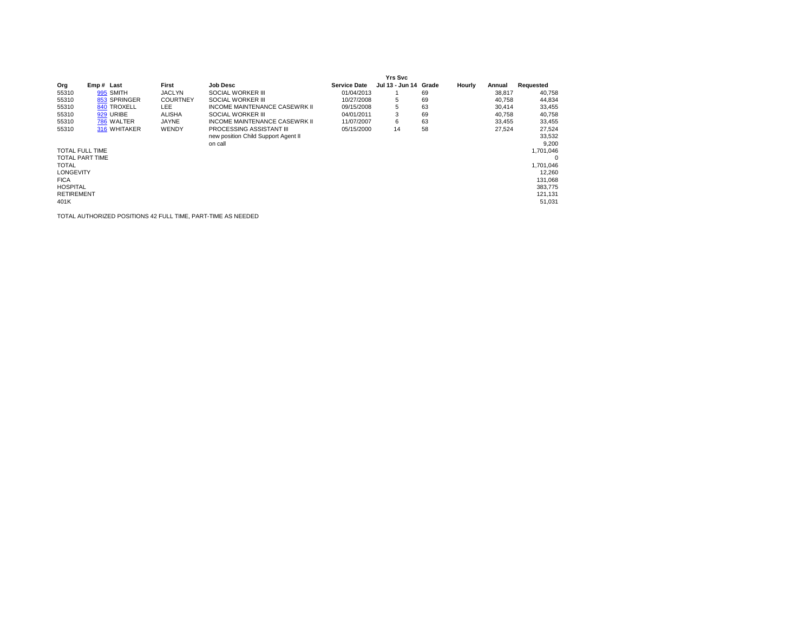|                   |                        |                 |                                      |                     | Yrs Svc               |    |        |        |           |
|-------------------|------------------------|-----------------|--------------------------------------|---------------------|-----------------------|----|--------|--------|-----------|
| Org               | Emp# Last              | First           | <b>Job Desc</b>                      | <b>Service Date</b> | Jul 13 - Jun 14 Grade |    | Hourly | Annual | Requested |
| 55310             | 995 SMITH              | <b>JACLYN</b>   | SOCIAL WORKER III                    | 01/04/2013          |                       | 69 |        | 38,817 | 40,758    |
| 55310             | 853 SPRINGER           | <b>COURTNEY</b> | SOCIAL WORKER III                    | 10/27/2008          | 5                     | 69 |        | 40.758 | 44,834    |
| 55310             | 840 TROXELL            | LEE.            | <b>INCOME MAINTENANCE CASEWRK II</b> | 09/15/2008          | 5                     | 63 |        | 30.414 | 33,455    |
| 55310             | 929 URIBE              | <b>ALISHA</b>   | SOCIAL WORKER III                    | 04/01/2011          | 3                     | 69 |        | 40.758 | 40,758    |
| 55310             | 786 WALTER             | JAYNE           | INCOME MAINTENANCE CASEWRK II        | 11/07/2007          | 6                     | 63 |        | 33.455 | 33,455    |
| 55310             | 316 WHITAKER           | WENDY           | <b>PROCESSING ASSISTANT III</b>      | 05/15/2000          | 14                    | 58 |        | 27.524 | 27,524    |
|                   |                        |                 | new position Child Support Agent II  |                     |                       |    |        |        | 33,532    |
|                   |                        |                 | on call                              |                     |                       |    |        |        | 9.200     |
|                   | <b>TOTAL FULL TIME</b> |                 |                                      |                     |                       |    |        |        | 1.701.046 |
|                   | <b>TOTAL PART TIME</b> |                 |                                      |                     |                       |    |        |        | 0         |
| <b>TOTAL</b>      |                        |                 |                                      |                     |                       |    |        |        | 1.701.046 |
| <b>LONGEVITY</b>  |                        |                 |                                      |                     |                       |    |        |        | 12.260    |
| <b>FICA</b>       |                        |                 |                                      |                     |                       |    |        |        | 131,068   |
| <b>HOSPITAL</b>   |                        |                 |                                      |                     |                       |    |        |        | 383.775   |
| <b>RETIREMENT</b> |                        |                 |                                      |                     |                       |    |        |        | 121,131   |
| 401K              |                        |                 |                                      |                     |                       |    |        |        | 51,031    |

TOTAL AUTHORIZED POSITIONS 42 FULL TIME, PART-TIME AS NEEDED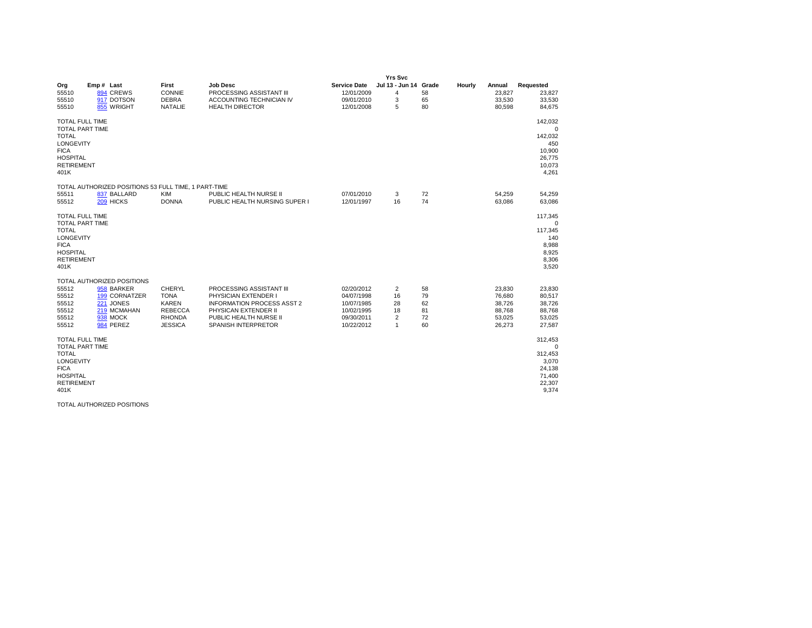|                                                                                                                                                     |                                                                                                                |                                                                                            |                                                                                                                                                                |                                                                                  | <b>Yrs Svc</b>                                    |                                  |        |                                                          |                                                                                 |
|-----------------------------------------------------------------------------------------------------------------------------------------------------|----------------------------------------------------------------------------------------------------------------|--------------------------------------------------------------------------------------------|----------------------------------------------------------------------------------------------------------------------------------------------------------------|----------------------------------------------------------------------------------|---------------------------------------------------|----------------------------------|--------|----------------------------------------------------------|---------------------------------------------------------------------------------|
| Org<br>55510<br>55510<br>55510                                                                                                                      | Emp# Last<br>894 CREWS<br>917 DOTSON<br>855 WRIGHT                                                             | First<br>CONNIE<br><b>DEBRA</b><br><b>NATALIE</b>                                          | <b>Job Desc</b><br>PROCESSING ASSISTANT III<br>ACCOUNTING TECHNICIAN IV<br><b>HEALTH DIRECTOR</b>                                                              | <b>Service Date</b><br>12/01/2009<br>09/01/2010<br>12/01/2008                    | Jul 13 - Jun 14 Grade<br>$\overline{4}$<br>3<br>5 | 58<br>65<br>80                   | Hourly | Annual<br>23,827<br>33,530<br>80,598                     | Requested<br>23,827<br>33,530<br>84,675                                         |
| <b>TOTAL FULL TIME</b><br><b>TOTAL PART TIME</b><br><b>TOTAL</b><br><b>LONGEVITY</b><br><b>FICA</b><br><b>HOSPITAL</b><br><b>RETIREMENT</b><br>401K |                                                                                                                |                                                                                            |                                                                                                                                                                |                                                                                  |                                                   |                                  |        |                                                          | 142,032<br>$\mathbf 0$<br>142,032<br>450<br>10,900<br>26,775<br>10,073<br>4,261 |
| 55511<br>55512                                                                                                                                      | TOTAL AUTHORIZED POSITIONS 53 FULL TIME, 1 PART-TIME<br>837 BALLARD<br>209 HICKS                               | <b>KIM</b><br><b>DONNA</b>                                                                 | PUBLIC HEALTH NURSE II<br>PUBLIC HEALTH NURSING SUPER I                                                                                                        | 07/01/2010<br>12/01/1997                                                         | 3<br>16                                           | 72<br>74                         |        | 54,259<br>63,086                                         | 54,259<br>63,086                                                                |
| <b>TOTAL FULL TIME</b><br><b>TOTAL PART TIME</b><br><b>TOTAL</b><br>LONGEVITY<br><b>FICA</b><br><b>HOSPITAL</b><br><b>RETIREMENT</b><br>401K        |                                                                                                                |                                                                                            |                                                                                                                                                                |                                                                                  |                                                   |                                  |        |                                                          | 117,345<br>$\Omega$<br>117,345<br>140<br>8,988<br>8,925<br>8,306<br>3,520       |
| 55512<br>55512<br>55512<br>55512<br>55512<br>55512                                                                                                  | TOTAL AUTHORIZED POSITIONS<br>958 BARKER<br>199 CORNATZER<br>221 JONES<br>219 MCMAHAN<br>938 MOCK<br>984 PEREZ | CHERYL<br><b>TONA</b><br><b>KAREN</b><br><b>REBECCA</b><br><b>RHONDA</b><br><b>JESSICA</b> | PROCESSING ASSISTANT III<br>PHYSICIAN EXTENDER I<br><b>INFORMATION PROCESS ASST 2</b><br>PHYSICAN EXTENDER II<br>PUBLIC HEALTH NURSE II<br>SPANISH INTERPRETOR | 02/20/2012<br>04/07/1998<br>10/07/1985<br>10/02/1995<br>09/30/2011<br>10/22/2012 | 2<br>16<br>28<br>18<br>2<br>$\mathbf{1}$          | 58<br>79<br>62<br>81<br>72<br>60 |        | 23,830<br>76,680<br>38,726<br>88,768<br>53,025<br>26,273 | 23,830<br>80,517<br>38,726<br>88,768<br>53,025<br>27,587                        |
| <b>TOTAL FULL TIME</b><br><b>TOTAL PART TIME</b><br><b>TOTAL</b><br>LONGEVITY<br><b>FICA</b><br><b>HOSPITAL</b><br><b>RETIREMENT</b><br>401K        |                                                                                                                |                                                                                            |                                                                                                                                                                |                                                                                  |                                                   |                                  |        |                                                          | 312,453<br>$\Omega$<br>312,453<br>3,070<br>24,138<br>71,400<br>22,307<br>9,374  |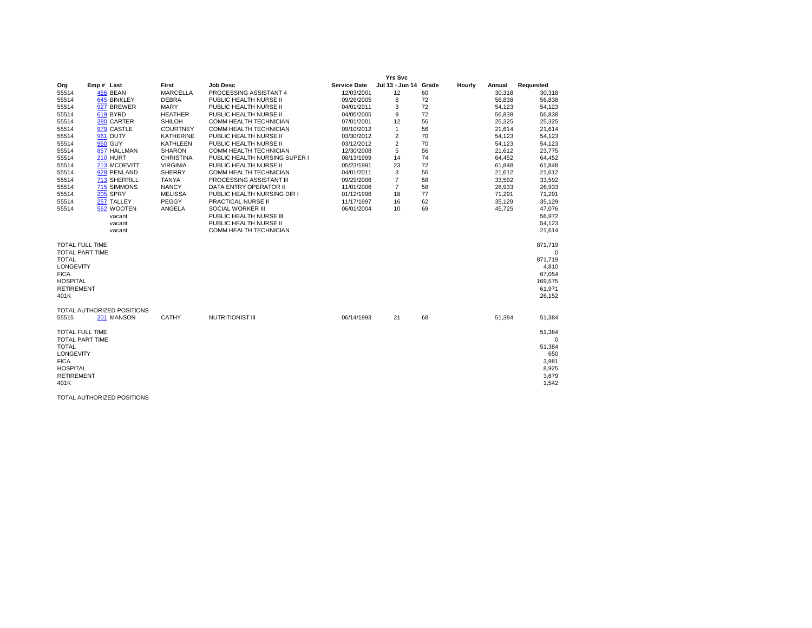|                        |                                          |                  |                                 |                     | <b>Yrs Svc</b>        |    |        |        |             |
|------------------------|------------------------------------------|------------------|---------------------------------|---------------------|-----------------------|----|--------|--------|-------------|
| Org                    | Emp# Last                                | First            | <b>Job Desc</b>                 | <b>Service Date</b> | Jul 13 - Jun 14 Grade |    | Hourly | Annual | Requested   |
| 55514                  | 456 BEAN                                 | <b>MARCELLA</b>  | PROCESSING ASSISTANT 4          | 12/03/2001          | 12                    | 60 |        | 30,318 | 30,318      |
| 55514                  | 645 BINKLEY                              | <b>DEBRA</b>     | PUBLIC HEALTH NURSE II          | 09/26/2005          | 8                     | 72 |        | 56,838 | 56,838      |
| 55514                  | 927 BREWER                               | <b>MARY</b>      | PUBLIC HEALTH NURSE II          | 04/01/2011          | 3                     | 72 |        | 54,123 | 54,123      |
| 55514                  | 619 BYRD                                 | <b>HEATHER</b>   | PUBLIC HEALTH NURSE II          | 04/05/2005          | 9                     | 72 |        | 56,838 | 56,838      |
| 55514                  | 380 CARTER                               | <b>SHILOH</b>    | COMM HEALTH TECHNICIAN          | 07/01/2001          | 12                    | 56 |        | 25,325 | 25,325      |
| 55514                  | 979 CASTLE                               | <b>COURTNEY</b>  | COMM HEALTH TECHNICIAN          | 09/10/2012          | $\mathbf{1}$          | 56 |        | 21,614 | 21,614      |
| 55514                  | 961 DUTY                                 | KATHERINE        | PUBLIC HEALTH NURSE II          | 03/30/2012          | 2                     | 70 |        | 54,123 | 54,123      |
| 55514                  | <b>960 GUY</b>                           | KATHLEEN         | PUBLIC HEALTH NURSE II          | 03/12/2012          | $\overline{2}$        | 70 |        | 54,123 | 54,123      |
| 55514                  | 857 HALLMAN                              | <b>SHARON</b>    | COMM HEALTH TECHNICIAN          | 12/30/2008          | 5                     | 56 |        | 21,612 | 23,775      |
| 55514                  | 210 HURT                                 | <b>CHRISTINA</b> | PUBLIC HEALTH NURSING SUPER I   | 08/13/1999          | 14                    | 74 |        | 64.452 | 64,452      |
| 55514                  | 213 MCDEVITT                             | <b>VIRGINIA</b>  | PUBLIC HEALTH NURSE II          | 05/23/1991          | 23                    | 72 |        | 61,848 | 61,848      |
| 55514                  | 928 PENLAND                              | <b>SHERRY</b>    | COMM HEALTH TECHNICIAN          | 04/01/2011          | 3                     | 56 |        | 21,612 | 21,612      |
| 55514                  | 713 SHERRILL                             | <b>TANYA</b>     | <b>PROCESSING ASSISTANT III</b> | 09/29/2006          | $\overline{7}$        | 58 |        | 33.592 | 33,592      |
| 55514                  | 715 SIMMONS                              | <b>NANCY</b>     | DATA ENTRY OPERATOR II          | 11/01/2006          | $\overline{7}$        | 58 |        | 26,933 | 26,933      |
| 55514                  | 205 SPRY                                 | <b>MELISSA</b>   | PUBLIC HEALTH NURSING DIR I     | 01/12/1996          | 18                    | 77 |        | 71,291 | 71,291      |
| 55514                  | 257 TALLEY                               | PEGGY            | PRACTICAL NURSE II              | 11/17/1997          | 16                    | 62 |        | 35,129 | 35,129      |
| 55514                  | 562 WOOTEN                               | ANGELA           | SOCIAL WORKER III               | 06/01/2004          | 10                    | 69 |        | 45,725 | 47,076      |
|                        | vacant                                   |                  | PUBLIC HEALTH NURSE III         |                     |                       |    |        |        | 56,972      |
|                        | vacant                                   |                  | PUBLIC HEALTH NURSE II          |                     |                       |    |        |        | 54,123      |
|                        | vacant                                   |                  | COMM HEALTH TECHNICIAN          |                     |                       |    |        |        | 21,614      |
| <b>TOTAL FULL TIME</b> |                                          |                  |                                 |                     |                       |    |        |        | 871,719     |
| <b>TOTAL PART TIME</b> |                                          |                  |                                 |                     |                       |    |        |        | $\mathbf 0$ |
| <b>TOTAL</b>           |                                          |                  |                                 |                     |                       |    |        |        | 871.719     |
| <b>LONGEVITY</b>       |                                          |                  |                                 |                     |                       |    |        |        | 4,810       |
| <b>FICA</b>            |                                          |                  |                                 |                     |                       |    |        |        | 67,054      |
| <b>HOSPITAL</b>        |                                          |                  |                                 |                     |                       |    |        |        | 169,575     |
| <b>RETIREMENT</b>      |                                          |                  |                                 |                     |                       |    |        |        | 61,971      |
| 401K                   |                                          |                  |                                 |                     |                       |    |        |        | 26,152      |
|                        |                                          |                  |                                 |                     |                       |    |        |        |             |
| 55515                  | TOTAL AUTHORIZED POSITIONS<br>201 MANSON | <b>CATHY</b>     | <b>NUTRITIONIST III</b>         | 06/14/1993          | 21                    | 68 |        | 51,384 | 51,384      |
|                        |                                          |                  |                                 |                     |                       |    |        |        |             |
| <b>TOTAL FULL TIME</b> |                                          |                  |                                 |                     |                       |    |        |        | 51,384      |
| <b>TOTAL PART TIME</b> |                                          |                  |                                 |                     |                       |    |        |        | $\Omega$    |
| <b>TOTAL</b>           |                                          |                  |                                 |                     |                       |    |        |        | 51,384      |
| <b>LONGEVITY</b>       |                                          |                  |                                 |                     |                       |    |        |        | 650         |
| <b>FICA</b>            |                                          |                  |                                 |                     |                       |    |        |        | 3,981       |
| <b>HOSPITAL</b>        |                                          |                  |                                 |                     |                       |    |        |        | 8,925       |
| <b>RETIREMENT</b>      |                                          |                  |                                 |                     |                       |    |        |        | 3,679       |
| 401K                   |                                          |                  |                                 |                     |                       |    |        |        | 1,542       |
|                        |                                          |                  |                                 |                     |                       |    |        |        |             |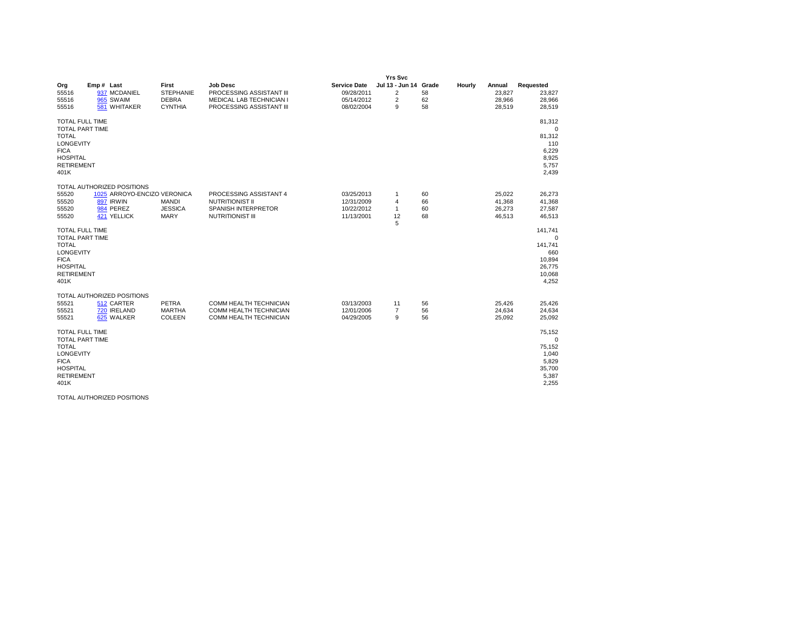|                                                                                                                                                     |                                                                                                    |                                                             |                                                                                                            |                                                               | <b>Yrs Svc</b>                                           |                         |        |                                      |                                                                              |
|-----------------------------------------------------------------------------------------------------------------------------------------------------|----------------------------------------------------------------------------------------------------|-------------------------------------------------------------|------------------------------------------------------------------------------------------------------------|---------------------------------------------------------------|----------------------------------------------------------|-------------------------|--------|--------------------------------------|------------------------------------------------------------------------------|
| Org<br>55516<br>55516<br>55516                                                                                                                      | Emp# Last<br>937 MCDANIEL<br>965 SWAIM<br>581 WHITAKER                                             | First<br><b>STEPHANIE</b><br><b>DEBRA</b><br><b>CYNTHIA</b> | <b>Job Desc</b><br>PROCESSING ASSISTANT III<br><b>MEDICAL LAB TECHNICIAN I</b><br>PROCESSING ASSISTANT III | <b>Service Date</b><br>09/28/2011<br>05/14/2012<br>08/02/2004 | Jul 13 - Jun 14<br>$\overline{2}$<br>$\overline{2}$<br>9 | Grade<br>58<br>62<br>58 | Hourly | Annual<br>23,827<br>28,966<br>28.519 | Requested<br>23,827<br>28,966<br>28,519                                      |
| <b>TOTAL FULL TIME</b><br><b>TOTAL PART TIME</b><br><b>TOTAL</b><br><b>LONGEVITY</b><br><b>FICA</b><br><b>HOSPITAL</b><br><b>RETIREMENT</b><br>401K |                                                                                                    |                                                             |                                                                                                            |                                                               |                                                          |                         |        |                                      | 81,312<br>$\mathbf 0$<br>81,312<br>110<br>6,229<br>8,925<br>5,757<br>2,439   |
| 55520<br>55520<br>55520<br>55520                                                                                                                    | TOTAL AUTHORIZED POSITIONS<br>1025 ARROYO-ENCIZO VERONICA<br>897 IRWIN<br>984 PEREZ<br>421 YELLICK | <b>MANDI</b><br><b>JESSICA</b><br><b>MARY</b>               | PROCESSING ASSISTANT 4<br><b>NUTRITIONIST II</b><br>SPANISH INTERPRETOR<br><b>NUTRITIONIST III</b>         | 03/25/2013<br>12/31/2009<br>10/22/2012<br>11/13/2001          | 1<br>$\overline{4}$<br>$\mathbf{1}$<br>12<br>5           | 60<br>66<br>60<br>68    |        | 25,022<br>41,368<br>26,273<br>46,513 | 26,273<br>41,368<br>27,587<br>46,513                                         |
| <b>TOTAL FULL TIME</b><br><b>TOTAL PART TIME</b><br><b>TOTAL</b><br><b>LONGEVITY</b><br><b>FICA</b><br><b>HOSPITAL</b><br><b>RETIREMENT</b><br>401K |                                                                                                    |                                                             |                                                                                                            |                                                               |                                                          |                         |        |                                      | 141,741<br>$\Omega$<br>141,741<br>660<br>10,894<br>26,775<br>10,068<br>4,252 |
| 55521<br>55521<br>55521                                                                                                                             | TOTAL AUTHORIZED POSITIONS<br>512 CARTER<br>720 IRELAND<br>625 WALKER                              | PETRA<br><b>MARTHA</b><br>COLEEN                            | COMM HEALTH TECHNICIAN<br>COMM HEALTH TECHNICIAN<br>COMM HEALTH TECHNICIAN                                 | 03/13/2003<br>12/01/2006<br>04/29/2005                        | 11<br>$\overline{7}$<br>9                                | 56<br>56<br>56          |        | 25,426<br>24,634<br>25,092           | 25,426<br>24,634<br>25,092                                                   |
| <b>TOTAL FULL TIME</b><br><b>TOTAL PART TIME</b><br><b>TOTAL</b><br><b>LONGEVITY</b><br><b>FICA</b><br><b>HOSPITAL</b><br><b>RETIREMENT</b><br>401K |                                                                                                    |                                                             |                                                                                                            |                                                               |                                                          |                         |        |                                      | 75,152<br>$\Omega$<br>75,152<br>1,040<br>5,829<br>35,700<br>5,387<br>2,255   |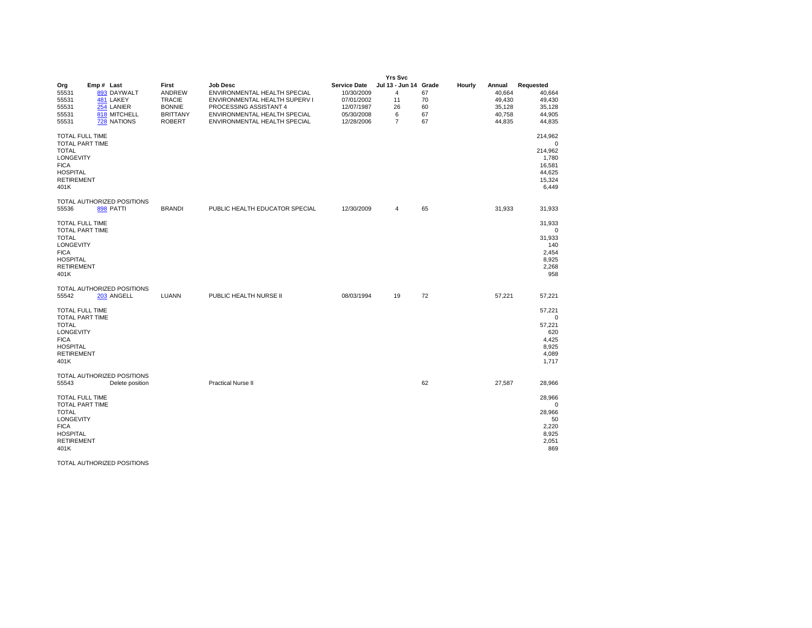|                                                                                                                                              |                                                                                    |                                                                                              |                                                                                                                                                                            |                                                                                           | <b>Yrs Svc</b>                                                             |                            |        |                                                          |                                                                           |
|----------------------------------------------------------------------------------------------------------------------------------------------|------------------------------------------------------------------------------------|----------------------------------------------------------------------------------------------|----------------------------------------------------------------------------------------------------------------------------------------------------------------------------|-------------------------------------------------------------------------------------------|----------------------------------------------------------------------------|----------------------------|--------|----------------------------------------------------------|---------------------------------------------------------------------------|
| Org<br>55531<br>55531<br>55531<br>55531<br>55531                                                                                             | Emp# Last<br>893 DAYWALT<br>481 LAKEY<br>254 LANIER<br>818 MITCHELL<br>728 NATIONS | First<br><b>ANDREW</b><br><b>TRACIE</b><br><b>BONNIE</b><br><b>BRITTANY</b><br><b>ROBERT</b> | <b>Job Desc</b><br>ENVIRONMENTAL HEALTH SPECIAL<br>ENVIRONMENTAL HEALTH SUPERV I<br>PROCESSING ASSISTANT 4<br>ENVIRONMENTAL HEALTH SPECIAL<br>ENVIRONMENTAL HEALTH SPECIAL | <b>Service Date</b><br>10/30/2009<br>07/01/2002<br>12/07/1987<br>05/30/2008<br>12/28/2006 | Jul 13 - Jun 14 Grade<br>$\overline{4}$<br>11<br>26<br>6<br>$\overline{7}$ | 67<br>70<br>60<br>67<br>67 | Hourly | Annual<br>40,664<br>49,430<br>35,128<br>40,758<br>44,835 | Requested<br>40,664<br>49,430<br>35,128<br>44,905<br>44,835               |
| TOTAL FULL TIME<br><b>TOTAL PART TIME</b><br><b>TOTAL</b><br>LONGEVITY<br><b>FICA</b><br><b>HOSPITAL</b><br><b>RETIREMENT</b><br>401K        |                                                                                    |                                                                                              |                                                                                                                                                                            |                                                                                           |                                                                            |                            |        |                                                          | 214,962<br>0<br>214,962<br>1,780<br>16,581<br>44,625<br>15,324<br>6,449   |
| 55536                                                                                                                                        | TOTAL AUTHORIZED POSITIONS<br><b>898 PATTI</b>                                     | <b>BRANDI</b>                                                                                | PUBLIC HEALTH EDUCATOR SPECIAL                                                                                                                                             | 12/30/2009                                                                                | 4                                                                          | 65                         |        | 31,933                                                   | 31,933                                                                    |
| <b>TOTAL FULL TIME</b><br>TOTAL PART TIME<br><b>TOTAL</b><br>LONGEVITY<br><b>FICA</b><br><b>HOSPITAL</b><br><b>RETIREMENT</b><br>401K        |                                                                                    |                                                                                              |                                                                                                                                                                            |                                                                                           |                                                                            |                            |        |                                                          | 31,933<br>0<br>31,933<br>140<br>2,454<br>8,925<br>2,268<br>958            |
| 55542                                                                                                                                        | TOTAL AUTHORIZED POSITIONS<br>203 ANGELL                                           | LUANN                                                                                        | PUBLIC HEALTH NURSE II                                                                                                                                                     | 08/03/1994                                                                                | 19                                                                         | 72                         |        | 57,221                                                   | 57,221                                                                    |
| <b>TOTAL FULL TIME</b><br><b>TOTAL PART TIME</b><br><b>TOTAL</b><br>LONGEVITY<br><b>FICA</b><br><b>HOSPITAL</b><br><b>RETIREMENT</b><br>401K |                                                                                    |                                                                                              |                                                                                                                                                                            |                                                                                           |                                                                            |                            |        |                                                          | 57,221<br>$^{\circ}$<br>57,221<br>620<br>4,425<br>8,925<br>4,089<br>1,717 |
| 55543                                                                                                                                        | TOTAL AUTHORIZED POSITIONS<br>Delete position                                      |                                                                                              | <b>Practical Nurse II</b>                                                                                                                                                  |                                                                                           |                                                                            | 62                         |        | 27,587                                                   | 28,966                                                                    |
| <b>TOTAL FULL TIME</b><br>TOTAL PART TIME<br><b>TOTAL</b><br>LONGEVITY<br><b>FICA</b><br><b>HOSPITAL</b><br><b>RETIREMENT</b><br>401K        |                                                                                    |                                                                                              |                                                                                                                                                                            |                                                                                           |                                                                            |                            |        |                                                          | 28,966<br>$\mathbf 0$<br>28,966<br>50<br>2,220<br>8,925<br>2,051<br>869   |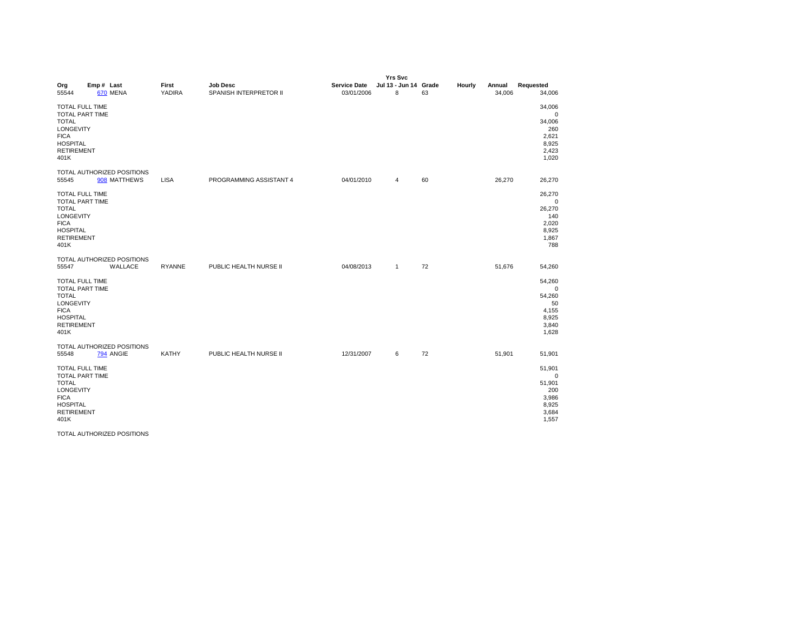|                                                                                                                                                     |                                            |                        | <b>Yrs Svc</b>                            |                                   |                            |    |        |                  |                                                                            |  |  |
|-----------------------------------------------------------------------------------------------------------------------------------------------------|--------------------------------------------|------------------------|-------------------------------------------|-----------------------------------|----------------------------|----|--------|------------------|----------------------------------------------------------------------------|--|--|
| Org<br>55544                                                                                                                                        | Emp# Last<br>670 MENA                      | First<br><b>YADIRA</b> | <b>Job Desc</b><br>SPANISH INTERPRETOR II | <b>Service Date</b><br>03/01/2006 | Jul 13 - Jun 14 Grade<br>8 | 63 | Hourly | Annual<br>34,006 | Requested<br>34,006                                                        |  |  |
| <b>TOTAL FULL TIME</b><br><b>TOTAL PART TIME</b><br><b>TOTAL</b><br><b>LONGEVITY</b><br><b>FICA</b><br><b>HOSPITAL</b><br><b>RETIREMENT</b><br>401K |                                            |                        |                                           |                                   |                            |    |        |                  | 34,006<br>0<br>34,006<br>260<br>2,621<br>8,925<br>2,423<br>1,020           |  |  |
| 55545                                                                                                                                               | TOTAL AUTHORIZED POSITIONS<br>908 MATTHEWS | <b>LISA</b>            | PROGRAMMING ASSISTANT 4                   | 04/01/2010                        | 4                          | 60 |        | 26,270           | 26,270                                                                     |  |  |
| TOTAL FULL TIME<br><b>TOTAL PART TIME</b><br><b>TOTAL</b><br>LONGEVITY<br><b>FICA</b><br><b>HOSPITAL</b><br><b>RETIREMENT</b><br>401K               |                                            |                        |                                           |                                   |                            |    |        |                  | 26,270<br>$\Omega$<br>26,270<br>140<br>2,020<br>8,925<br>1,867<br>788      |  |  |
| 55547                                                                                                                                               | TOTAL AUTHORIZED POSITIONS<br>WALLACE      | <b>RYANNE</b>          | PUBLIC HEALTH NURSE II                    | 04/08/2013                        | $\mathbf{1}$               | 72 |        | 51,676           | 54,260                                                                     |  |  |
| <b>TOTAL FULL TIME</b><br><b>TOTAL PART TIME</b><br><b>TOTAL</b><br>LONGEVITY<br><b>FICA</b><br><b>HOSPITAL</b><br><b>RETIREMENT</b><br>401K        |                                            |                        |                                           |                                   |                            |    |        |                  | 54,260<br>$\mathbf 0$<br>54,260<br>50<br>4,155<br>8,925<br>3,840<br>1,628  |  |  |
| 55548                                                                                                                                               | TOTAL AUTHORIZED POSITIONS<br>794 ANGIE    | <b>KATHY</b>           | PUBLIC HEALTH NURSE II                    | 12/31/2007                        | 6                          | 72 |        | 51,901           | 51,901                                                                     |  |  |
| <b>TOTAL FULL TIME</b><br><b>TOTAL PART TIME</b><br><b>TOTAL</b><br>LONGEVITY<br><b>FICA</b><br><b>HOSPITAL</b><br><b>RETIREMENT</b><br>401K        |                                            |                        |                                           |                                   |                            |    |        |                  | 51,901<br>$\mathbf 0$<br>51,901<br>200<br>3,986<br>8,925<br>3,684<br>1,557 |  |  |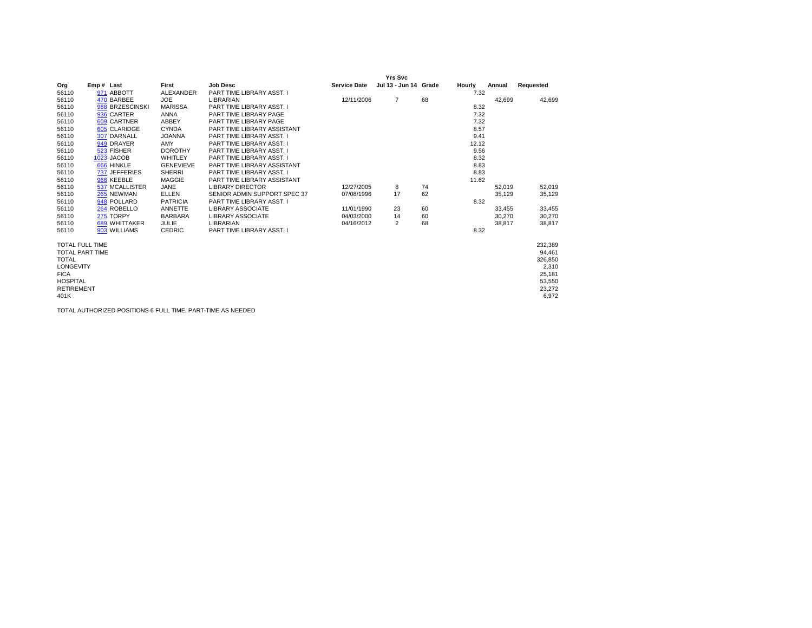|                        |                 |                  |                              |                     | <b>Yrs Svc</b>        |    |        |        |           |
|------------------------|-----------------|------------------|------------------------------|---------------------|-----------------------|----|--------|--------|-----------|
| Org                    | Emp# Last       | First            | <b>Job Desc</b>              | <b>Service Date</b> | Jul 13 - Jun 14 Grade |    | Hourly | Annual | Requested |
| 56110                  | 971 ABBOTT      | <b>ALEXANDER</b> | PART TIME LIBRARY ASST. I    |                     |                       |    | 7.32   |        |           |
| 56110                  | 470 BARBEE      | <b>JOE</b>       | <b>LIBRARIAN</b>             | 12/11/2006          | $\overline{7}$        | 68 |        | 42,699 | 42,699    |
| 56110                  | 988 BRZESCINSKI | <b>MARISSA</b>   | PART TIME LIBRARY ASST. I    |                     |                       |    | 8.32   |        |           |
| 56110                  | 936 CARTER      | <b>ANNA</b>      | PART TIME LIBRARY PAGE       |                     |                       |    | 7.32   |        |           |
| 56110                  | 609 CARTNER     | ABBEY            | PART TIME LIBRARY PAGE       |                     |                       |    | 7.32   |        |           |
| 56110                  | 605 CLARIDGE    | <b>CYNDA</b>     | PART TIME LIBRARY ASSISTANT  |                     |                       |    | 8.57   |        |           |
| 56110                  | 307 DARNALL     | <b>JOANNA</b>    | PART TIME LIBRARY ASST. I    |                     |                       |    | 9.41   |        |           |
| 56110                  | 949 DRAYER      | AMY              | PART TIME LIBRARY ASST. I    |                     |                       |    | 12.12  |        |           |
| 56110                  | 523 FISHER      | <b>DOROTHY</b>   | PART TIME LIBRARY ASST. I    |                     |                       |    | 9.56   |        |           |
| 56110                  | 1023 JACOB      | <b>WHITLEY</b>   | PART TIME LIBRARY ASST. I    |                     |                       |    | 8.32   |        |           |
| 56110                  | 666 HINKLE      | <b>GENEVIEVE</b> | PART TIME LIBRARY ASSISTANT  |                     |                       |    | 8.83   |        |           |
| 56110                  | 737 JEFFERIES   | <b>SHERRI</b>    | PART TIME LIBRARY ASST. I    |                     |                       |    | 8.83   |        |           |
| 56110                  | 966 KEEBLE      | <b>MAGGIE</b>    | PART TIME LIBRARY ASSISTANT  |                     |                       |    | 11.62  |        |           |
| 56110                  | 537 MCALLISTER  | <b>JANE</b>      | <b>LIBRARY DIRECTOR</b>      | 12/27/2005          | 8                     | 74 |        | 52,019 | 52,019    |
| 56110                  | 265 NEWMAN      | <b>ELLEN</b>     | SENIOR ADMIN SUPPORT SPEC 37 | 07/08/1996          | 17                    | 62 |        | 35,129 | 35,129    |
| 56110                  | 948 POLLARD     | <b>PATRICIA</b>  | PART TIME LIBRARY ASST. I    |                     |                       |    | 8.32   |        |           |
| 56110                  | 264 ROBELLO     | ANNETTE          | <b>LIBRARY ASSOCIATE</b>     | 11/01/1990          | 23                    | 60 |        | 33,455 | 33,455    |
| 56110                  | 275 TORPY       | <b>BARBARA</b>   | <b>LIBRARY ASSOCIATE</b>     | 04/03/2000          | 14                    | 60 |        | 30,270 | 30,270    |
| 56110                  | 689 WHITTAKER   | <b>JULIE</b>     | <b>LIBRARIAN</b>             | 04/16/2012          | 2                     | 68 |        | 38,817 | 38,817    |
| 56110                  | 903 WILLIAMS    | <b>CEDRIC</b>    | PART TIME LIBRARY ASST. I    |                     |                       |    | 8.32   |        |           |
| <b>TOTAL FULL TIME</b> |                 |                  |                              |                     |                       |    |        |        | 232,389   |
| <b>TOTAL PART TIME</b> |                 |                  |                              |                     |                       |    |        |        | 94,461    |
| <b>TOTAL</b>           |                 |                  |                              |                     |                       |    |        |        | 326,850   |
| <b>LONGEVITY</b>       |                 |                  |                              |                     |                       |    |        |        | 2,310     |
| <b>FICA</b>            |                 |                  |                              |                     |                       |    |        |        | 25,181    |
| <b>HOSPITAL</b>        |                 |                  |                              |                     |                       |    |        |        | 53,550    |
| <b>RETIREMENT</b>      |                 |                  |                              |                     |                       |    |        |        | 23,272    |
| 401K                   |                 |                  |                              |                     |                       |    |        |        | 6,972     |

TOTAL AUTHORIZED POSITIONS 6 FULL TIME, PART-TIME AS NEEDED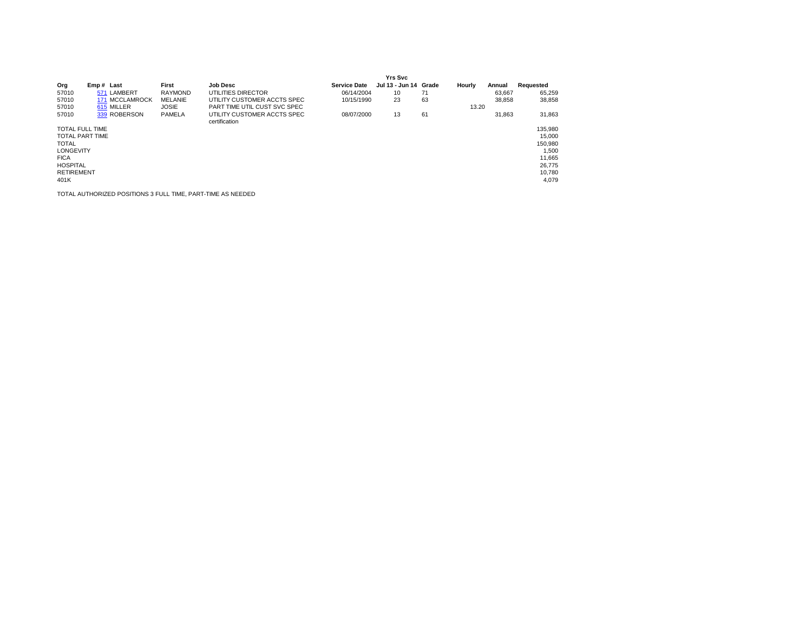|                        |                |                |                                              |                     | <b>Yrs Svc</b>  |       |        |        |           |
|------------------------|----------------|----------------|----------------------------------------------|---------------------|-----------------|-------|--------|--------|-----------|
| Org                    | Emp# Last      | First          | <b>Job Desc</b>                              | <b>Service Date</b> | Jul 13 - Jun 14 | Grade | Hourly | Annual | Requested |
| 57010                  | 571 LAMBERT    | <b>RAYMOND</b> | UTILITIES DIRECTOR                           | 06/14/2004          | 10              | 71    |        | 63.667 | 65,259    |
| 57010                  | 171 MCCLAMROCK | <b>MELANIE</b> | UTILITY CUSTOMER ACCTS SPEC                  | 10/15/1990          | 23              | 63    |        | 38,858 | 38,858    |
| 57010                  | 615 MILLER     | <b>JOSIE</b>   | PART TIME UTIL CUST SVC SPEC                 |                     |                 |       | 13.20  |        |           |
| 57010                  | 339 ROBERSON   | PAMELA         | UTILITY CUSTOMER ACCTS SPEC<br>certification | 08/07/2000          | 13              | 61    |        | 31.863 | 31,863    |
| <b>TOTAL FULL TIME</b> |                |                |                                              |                     |                 |       |        |        | 135,980   |
| <b>TOTAL PART TIME</b> |                |                |                                              |                     |                 |       |        |        | 15,000    |
| <b>TOTAL</b>           |                |                |                                              |                     |                 |       |        |        | 150,980   |
| <b>LONGEVITY</b>       |                |                |                                              |                     |                 |       |        |        | 1,500     |
| <b>FICA</b>            |                |                |                                              |                     |                 |       |        |        | 11,665    |
| <b>HOSPITAL</b>        |                |                |                                              |                     |                 |       |        |        | 26,775    |
| <b>RETIREMENT</b>      |                |                |                                              |                     |                 |       |        |        | 10.780    |
| 401K                   |                |                |                                              |                     |                 |       |        |        | 4,079     |
|                        |                |                |                                              |                     |                 |       |        |        |           |

TOTAL AUTHORIZED POSITIONS 3 FULL TIME, PART-TIME AS NEEDED